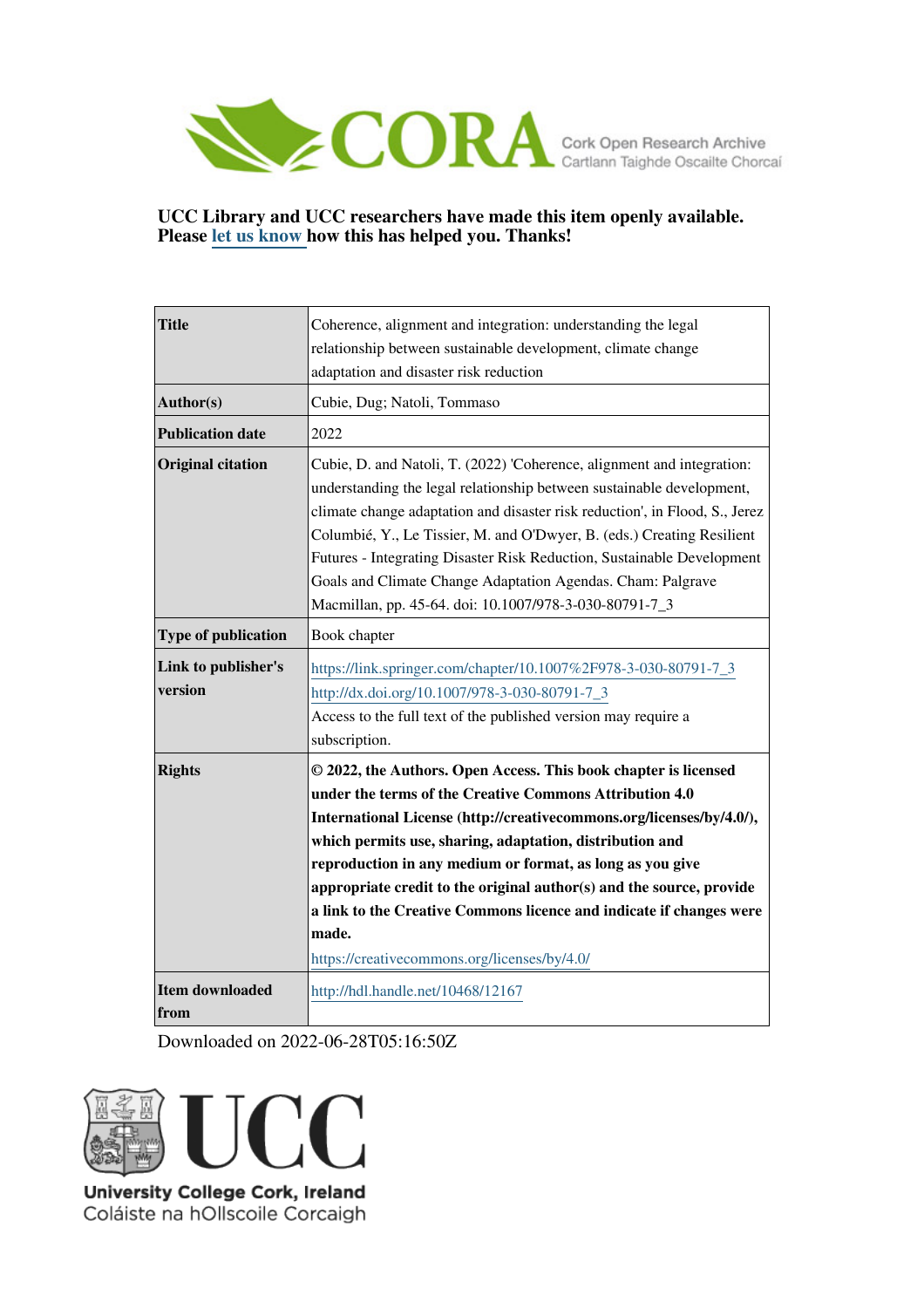

#### **UCC Library and UCC researchers have made this item openly available. Please [let us know h](https://libguides.ucc.ie/openaccess/impact?suffix=12167&title=Coherence, alignment and integration: understanding the legal relationship between sustainable development, climate change adaptation and disaster risk reduction)ow this has helped you. Thanks!**

| <b>Title</b>                   | Coherence, alignment and integration: understanding the legal<br>relationship between sustainable development, climate change                                                                                                                                                                                                                                                                                                                                                                                                       |
|--------------------------------|-------------------------------------------------------------------------------------------------------------------------------------------------------------------------------------------------------------------------------------------------------------------------------------------------------------------------------------------------------------------------------------------------------------------------------------------------------------------------------------------------------------------------------------|
|                                | adaptation and disaster risk reduction                                                                                                                                                                                                                                                                                                                                                                                                                                                                                              |
| Author(s)                      | Cubie, Dug; Natoli, Tommaso                                                                                                                                                                                                                                                                                                                                                                                                                                                                                                         |
| <b>Publication date</b>        | 2022                                                                                                                                                                                                                                                                                                                                                                                                                                                                                                                                |
| <b>Original citation</b>       | Cubie, D. and Natoli, T. (2022) 'Coherence, alignment and integration:<br>understanding the legal relationship between sustainable development,<br>climate change adaptation and disaster risk reduction', in Flood, S., Jerez<br>Columbié, Y., Le Tissier, M. and O'Dwyer, B. (eds.) Creating Resilient<br>Futures - Integrating Disaster Risk Reduction, Sustainable Development<br>Goals and Climate Change Adaptation Agendas. Cham: Palgrave<br>Macmillan, pp. 45-64. doi: 10.1007/978-3-030-80791-7_3                         |
| <b>Type of publication</b>     | Book chapter                                                                                                                                                                                                                                                                                                                                                                                                                                                                                                                        |
| Link to publisher's<br>version | https://link.springer.com/chapter/10.1007%2F978-3-030-80791-7_3<br>http://dx.doi.org/10.1007/978-3-030-80791-7_3<br>Access to the full text of the published version may require a<br>subscription.                                                                                                                                                                                                                                                                                                                                 |
| <b>Rights</b>                  | © 2022, the Authors. Open Access. This book chapter is licensed<br>under the terms of the Creative Commons Attribution 4.0<br>International License (http://creativecommons.org/licenses/by/4.0/),<br>which permits use, sharing, adaptation, distribution and<br>reproduction in any medium or format, as long as you give<br>appropriate credit to the original author(s) and the source, provide<br>a link to the Creative Commons licence and indicate if changes were<br>made.<br>https://creativecommons.org/licenses/by/4.0/ |
| <b>Item downloaded</b><br>from | http://hdl.handle.net/10468/12167                                                                                                                                                                                                                                                                                                                                                                                                                                                                                                   |

Downloaded on 2022-06-28T05:16:50Z



Coláiste na hOllscoile Corcaigh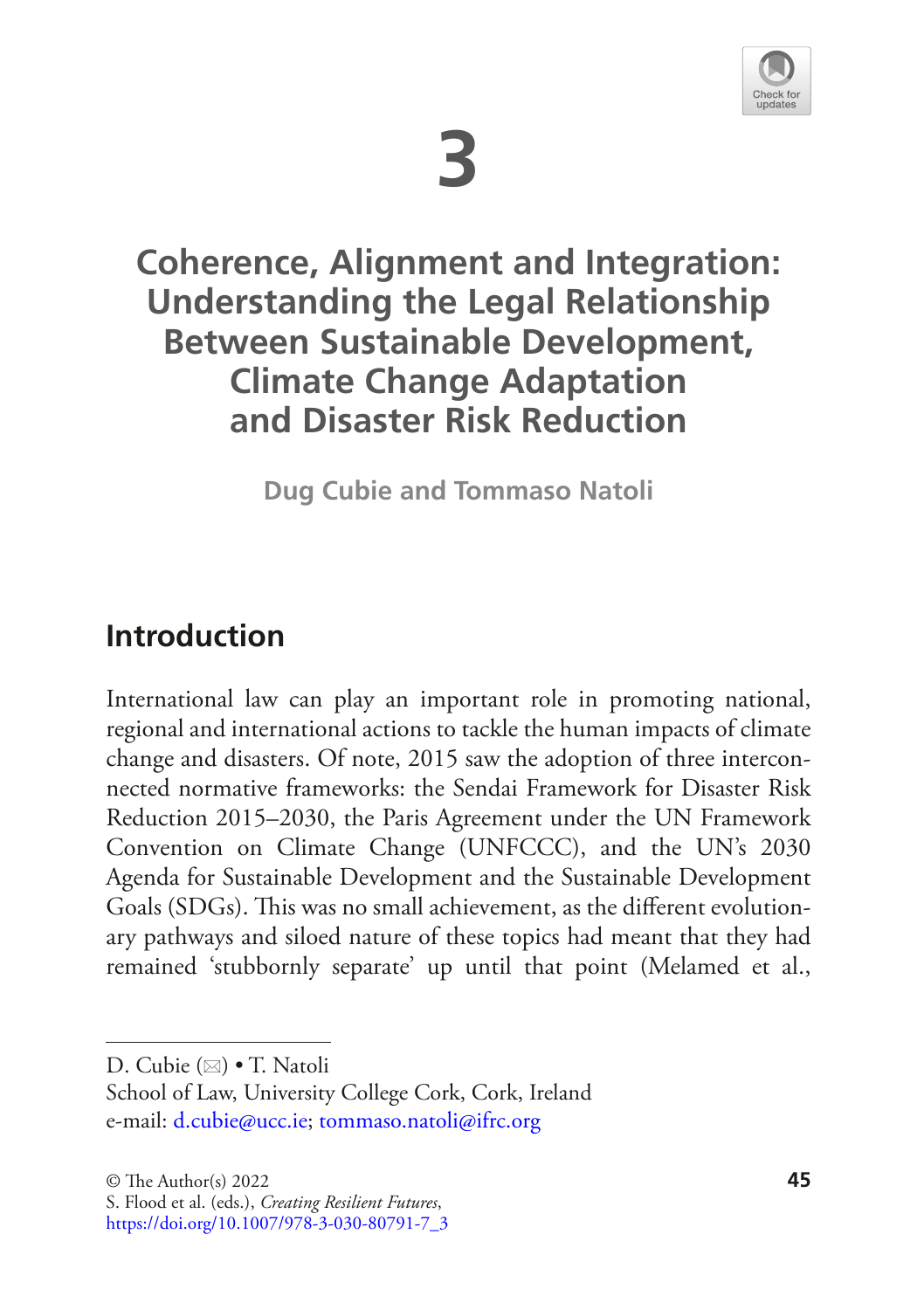

# **3**

# **Coherence, Alignment and Integration: Understanding the Legal Relationship Between Sustainable Development, Climate Change Adaptation and Disaster Risk Reduction**

**Dug Cubie and Tommaso Natoli**

## **Introduction**

International law can play an important role in promoting national, regional and international actions to tackle the human impacts of climate change and disasters. Of note, 2015 saw the adoption of three interconnected normative frameworks: the Sendai Framework for Disaster Risk Reduction 2015–2030, the Paris Agreement under the UN Framework Convention on Climate Change (UNFCCC), and the UN's 2030 Agenda for Sustainable Development and the Sustainable Development Goals (SDGs). This was no small achievement, as the different evolutionary pathways and siloed nature of these topics had meant that they had remained 'stubbornly separate' up until that point (Melamed et al.,

D. Cubie ( $\boxtimes$ ) • T. Natoli

School of Law, University College Cork, Cork, Ireland e-mail[: d.cubie@ucc.ie](mailto:d.cubie@ucc.ie)[; tommaso.natoli@ifrc.org](mailto:tommaso.natoli@ifrc.org)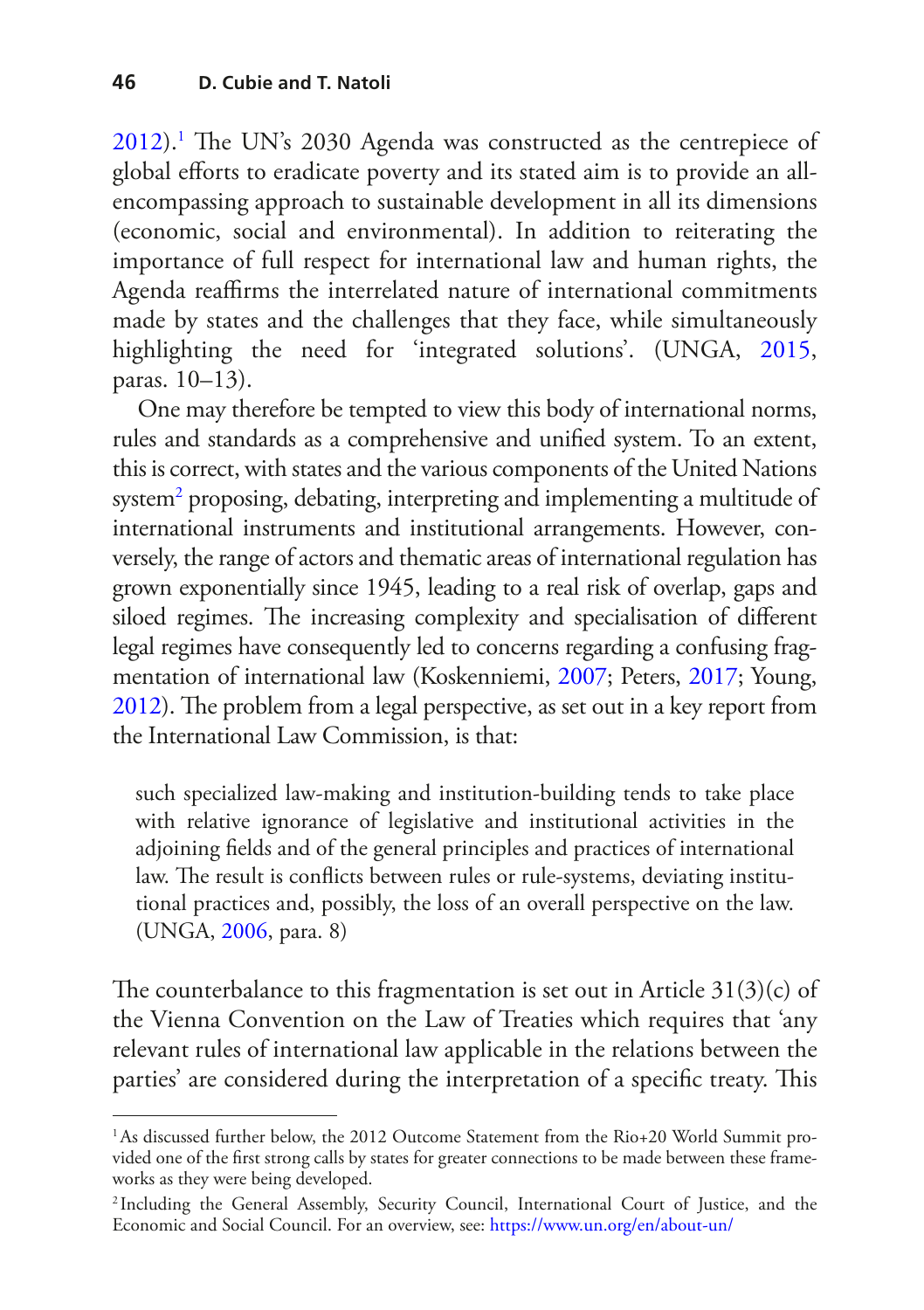[2012](#page-19-0)).<sup>[1](#page-2-0)</sup> The UN's 2030 Agenda was constructed as the centrepiece of global eforts to eradicate poverty and its stated aim is to provide an allencompassing approach to sustainable development in all its dimensions (economic, social and environmental). In addition to reiterating the importance of full respect for international law and human rights, the Agenda reaffirms the interrelated nature of international commitments made by states and the challenges that they face, while simultaneously highlighting the need for 'integrated solutions'. (UNGA, [2015](#page-20-0), paras. 10–13).

One may therefore be tempted to view this body of international norms, rules and standards as a comprehensive and unifed system. To an extent, this is correct, with states and the various components of the United Nations system<sup>[2](#page-2-1)</sup> proposing, debating, interpreting and implementing a multitude of international instruments and institutional arrangements. However, conversely, the range of actors and thematic areas of international regulation has grown exponentially since 1945, leading to a real risk of overlap, gaps and siloed regimes. The increasing complexity and specialisation of different legal regimes have consequently led to concerns regarding a confusing fragmentation of international law (Koskenniemi, [2007;](#page-18-0) Peters, [2017](#page-19-1); Young, [2012](#page-20-1)). The problem from a legal perspective, as set out in a key report from the International Law Commission, is that:

such specialized law-making and institution-building tends to take place with relative ignorance of legislative and institutional activities in the adjoining felds and of the general principles and practices of international law. The result is conflicts between rules or rule-systems, deviating institutional practices and, possibly, the loss of an overall perspective on the law. (UNGA, [2006,](#page-20-2) para. 8)

The counterbalance to this fragmentation is set out in Article  $31(3)(c)$  of the Vienna Convention on the Law of Treaties which requires that 'any relevant rules of international law applicable in the relations between the parties' are considered during the interpretation of a specific treaty. This

<span id="page-2-0"></span><sup>1</sup>As discussed further below, the 2012 Outcome Statement from the Rio+20 World Summit provided one of the frst strong calls by states for greater connections to be made between these frameworks as they were being developed.

<span id="page-2-1"></span><sup>2</sup> Including the General Assembly, Security Council, International Court of Justice, and the Economic and Social Council. For an overview, see: <https://www.un.org/en/about-un/>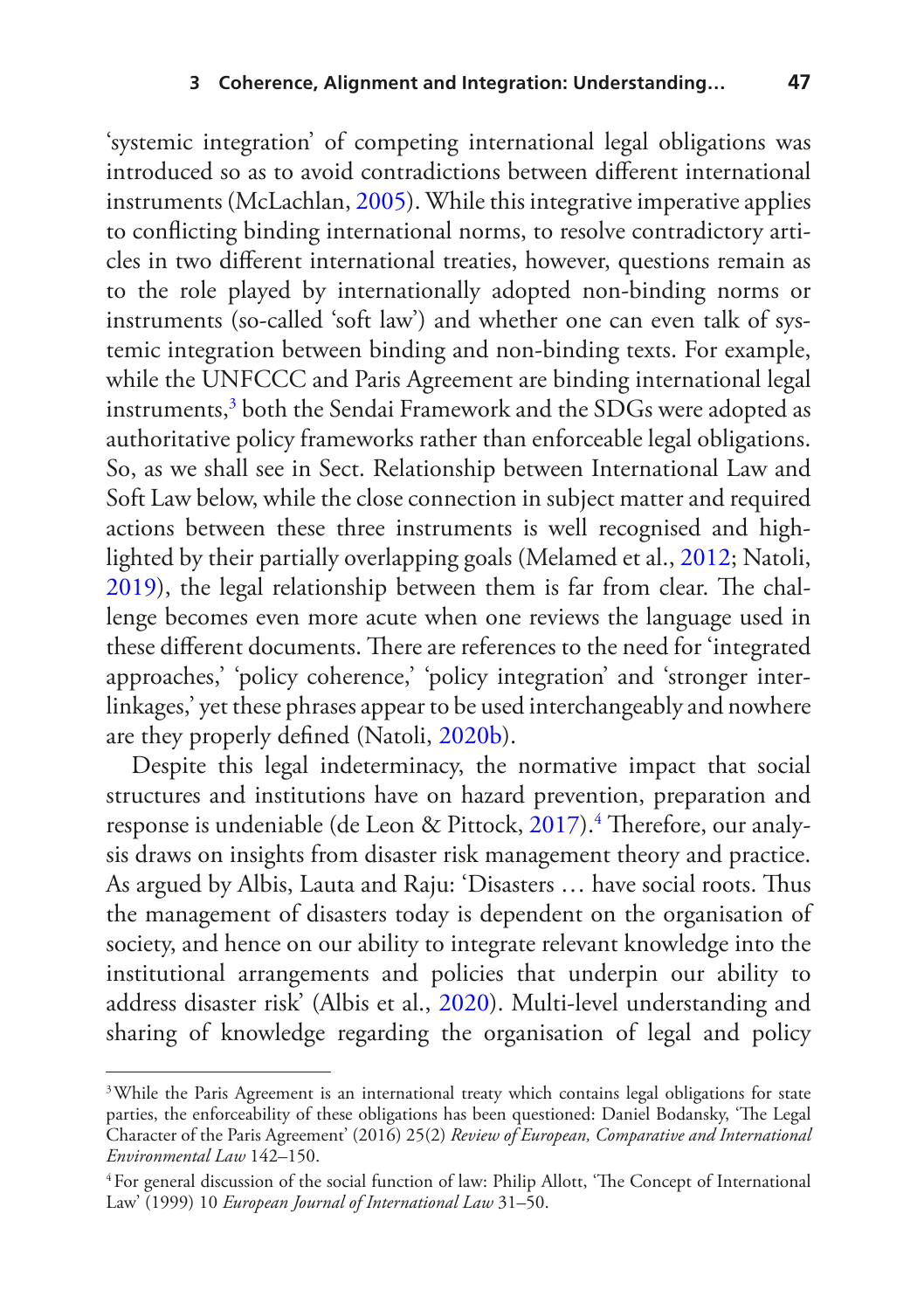'systemic integration' of competing international legal obligations was introduced so as to avoid contradictions between diferent international instruments (McLachlan, [2005\)](#page-19-2). While this integrative imperative applies to conficting binding international norms, to resolve contradictory articles in two diferent international treaties, however, questions remain as to the role played by internationally adopted non-binding norms or instruments (so-called 'soft law') and whether one can even talk of systemic integration between binding and non-binding texts. For example, while the UNFCCC and Paris Agreement are binding international legal instruments,[3](#page-3-0) both the Sendai Framework and the SDGs were adopted as authoritative policy frameworks rather than enforceable legal obligations. So, as we shall see in Sect. Relationship between International Law and Soft Law below, while the close connection in subject matter and required actions between these three instruments is well recognised and highlighted by their partially overlapping goals (Melamed et al., [2012](#page-19-0); Natoli, [2019](#page-19-3)), the legal relationship between them is far from clear. The challenge becomes even more acute when one reviews the language used in these different documents. There are references to the need for 'integrated approaches,' 'policy coherence,' 'policy integration' and 'stronger interlinkages,' yet these phrases appear to be used interchangeably and nowhere are they properly defned (Natoli, [2020b](#page-19-4)).

Despite this legal indeterminacy, the normative impact that social structures and institutions have on hazard prevention, preparation and response is undeniable (de Leon & Pittock, [2017](#page-18-1)).<sup>4</sup> Therefore, our analysis draws on insights from disaster risk management theory and practice. As argued by Albis, Lauta and Raju: 'Disasters ... have social roots. Thus the management of disasters today is dependent on the organisation of society, and hence on our ability to integrate relevant knowledge into the institutional arrangements and policies that underpin our ability to address disaster risk' (Albis et al., [2020](#page-18-2)). Multi-level understanding and sharing of knowledge regarding the organisation of legal and policy

<span id="page-3-0"></span><sup>&</sup>lt;sup>3</sup>While the Paris Agreement is an international treaty which contains legal obligations for state parties, the enforceability of these obligations has been questioned: Daniel Bodansky, 'The Legal Character of the Paris Agreement' (2016) 25(2) *Review of European, Comparative and International Environmental Law* 142–150.

<span id="page-3-1"></span><sup>4</sup>For general discussion of the social function of law: Philip Allott, 'Te Concept of International Law' (1999) 10 *European Journal of International Law* 31–50.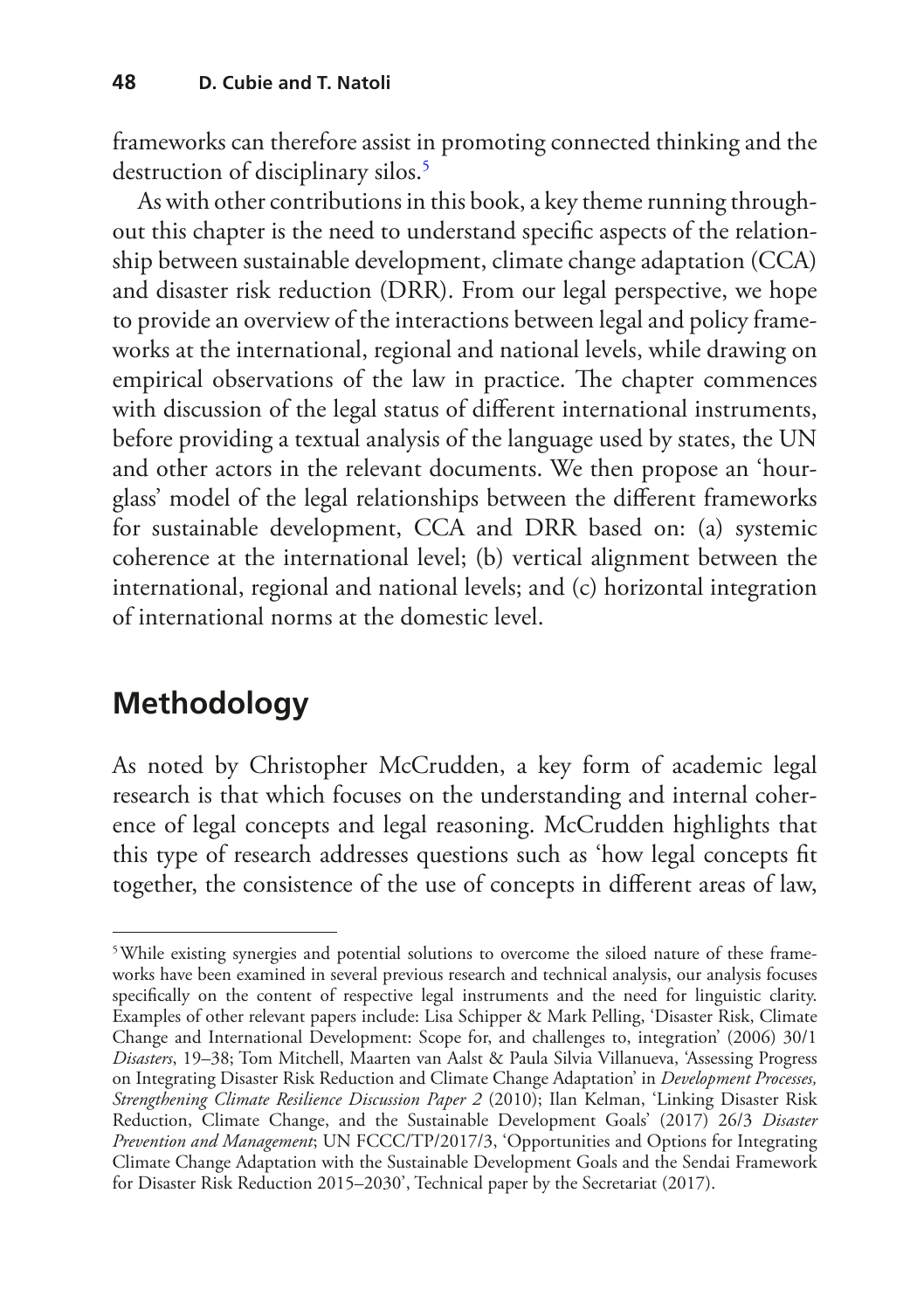frameworks can therefore assist in promoting connected thinking and the destruction of disciplinary silos.<sup>[5](#page-4-0)</sup>

As with other contributions in this book, a key theme running throughout this chapter is the need to understand specifc aspects of the relationship between sustainable development, climate change adaptation (CCA) and disaster risk reduction (DRR). From our legal perspective, we hope to provide an overview of the interactions between legal and policy frameworks at the international, regional and national levels, while drawing on empirical observations of the law in practice. The chapter commences with discussion of the legal status of diferent international instruments, before providing a textual analysis of the language used by states, the UN and other actors in the relevant documents. We then propose an 'hourglass' model of the legal relationships between the diferent frameworks for sustainable development, CCA and DRR based on: (a) systemic coherence at the international level; (b) vertical alignment between the international, regional and national levels; and (c) horizontal integration of international norms at the domestic level.

## **Methodology**

As noted by Christopher McCrudden, a key form of academic legal research is that which focuses on the understanding and internal coherence of legal concepts and legal reasoning. McCrudden highlights that this type of research addresses questions such as 'how legal concepts ft together, the consistence of the use of concepts in diferent areas of law,

<span id="page-4-0"></span><sup>&</sup>lt;sup>5</sup>While existing synergies and potential solutions to overcome the siloed nature of these frameworks have been examined in several previous research and technical analysis, our analysis focuses specifcally on the content of respective legal instruments and the need for linguistic clarity. Examples of other relevant papers include: Lisa Schipper & Mark Pelling, 'Disaster Risk, Climate Change and International Development: Scope for, and challenges to, integration' (2006) 30/1 *Disasters*, 19–38; Tom Mitchell, Maarten van Aalst & Paula Silvia Villanueva, 'Assessing Progress on Integrating Disaster Risk Reduction and Climate Change Adaptation' in *Development Processes, Strengthening Climate Resilience Discussion Paper 2* (2010); Ilan Kelman, 'Linking Disaster Risk Reduction, Climate Change, and the Sustainable Development Goals' (2017) 26/3 *Disaster Prevention and Management*; UN FCCC/TP/2017/3, 'Opportunities and Options for Integrating Climate Change Adaptation with the Sustainable Development Goals and the Sendai Framework for Disaster Risk Reduction 2015–2030', Technical paper by the Secretariat (2017).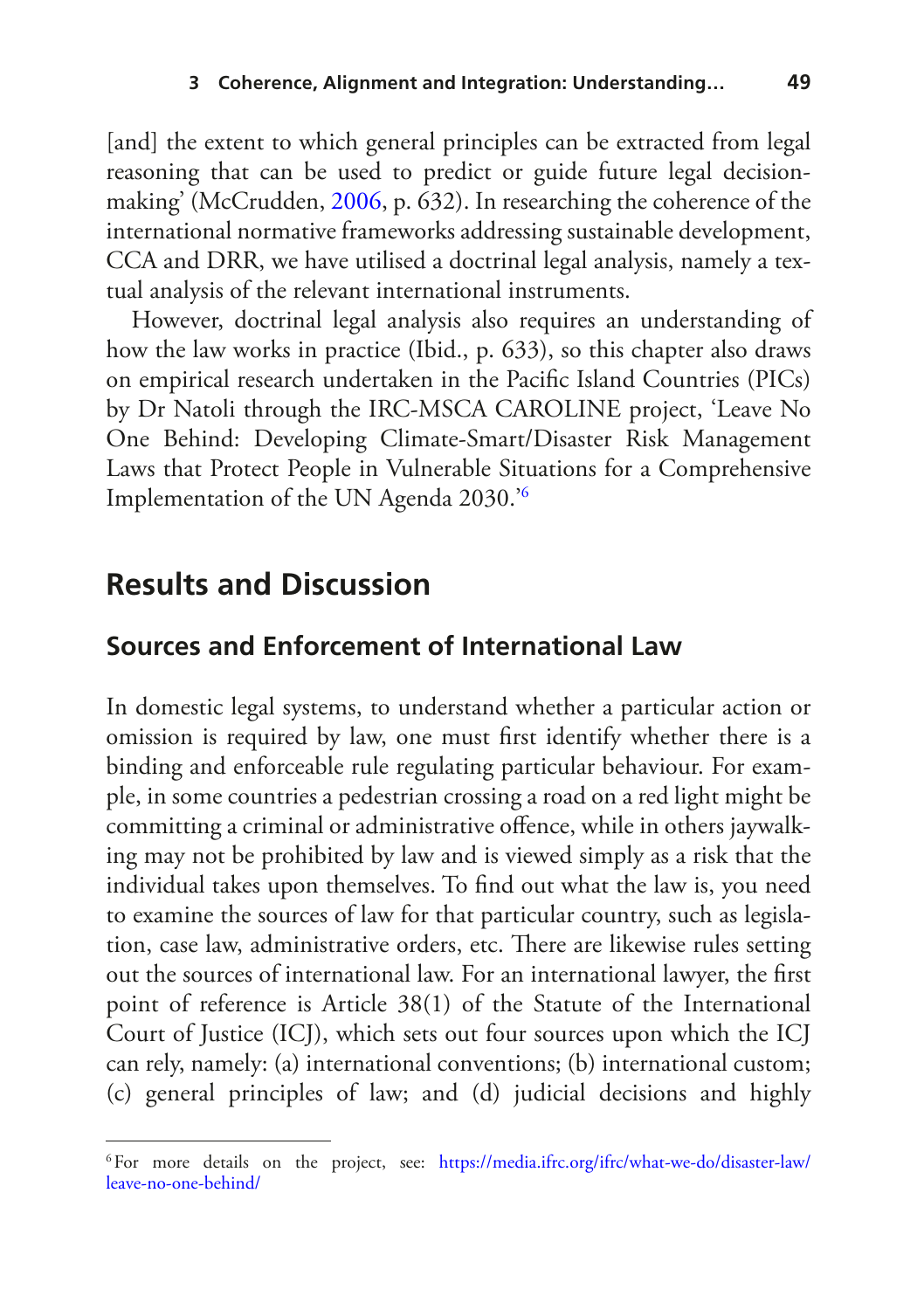[and] the extent to which general principles can be extracted from legal reasoning that can be used to predict or guide future legal decisionmaking' (McCrudden, [2006](#page-19-5), p. 632). In researching the coherence of the international normative frameworks addressing sustainable development, CCA and DRR, we have utilised a doctrinal legal analysis, namely a textual analysis of the relevant international instruments.

However, doctrinal legal analysis also requires an understanding of how the law works in practice (Ibid., p. 633), so this chapter also draws on empirical research undertaken in the Pacifc Island Countries (PICs) by Dr Natoli through the IRC-MSCA CAROLINE project, 'Leave No One Behind: Developing Climate-Smart/Disaster Risk Management Laws that Protect People in Vulnerable Situations for a Comprehensive Implementation of the UN Agenda 2030.'[6](#page-5-0)

### **Results and Discussion**

#### **Sources and Enforcement of International Law**

In domestic legal systems, to understand whether a particular action or omission is required by law, one must frst identify whether there is a binding and enforceable rule regulating particular behaviour. For example, in some countries a pedestrian crossing a road on a red light might be committing a criminal or administrative ofence, while in others jaywalking may not be prohibited by law and is viewed simply as a risk that the individual takes upon themselves. To fnd out what the law is, you need to examine the sources of law for that particular country, such as legislation, case law, administrative orders, etc. There are likewise rules setting out the sources of international law. For an international lawyer, the frst point of reference is Article 38(1) of the Statute of the International Court of Justice (ICJ), which sets out four sources upon which the ICJ can rely, namely: (a) international conventions; (b) international custom; (c) general principles of law; and (d) judicial decisions and highly

<span id="page-5-0"></span><sup>6</sup>For more details on the project, see: [https://media.ifrc.org/ifrc/what-we-do/disaster-law/](https://media.ifrc.org/ifrc/what-we-do/disaster-law/leave-no-one-behind/) [leave-no-one-behind/](https://media.ifrc.org/ifrc/what-we-do/disaster-law/leave-no-one-behind/)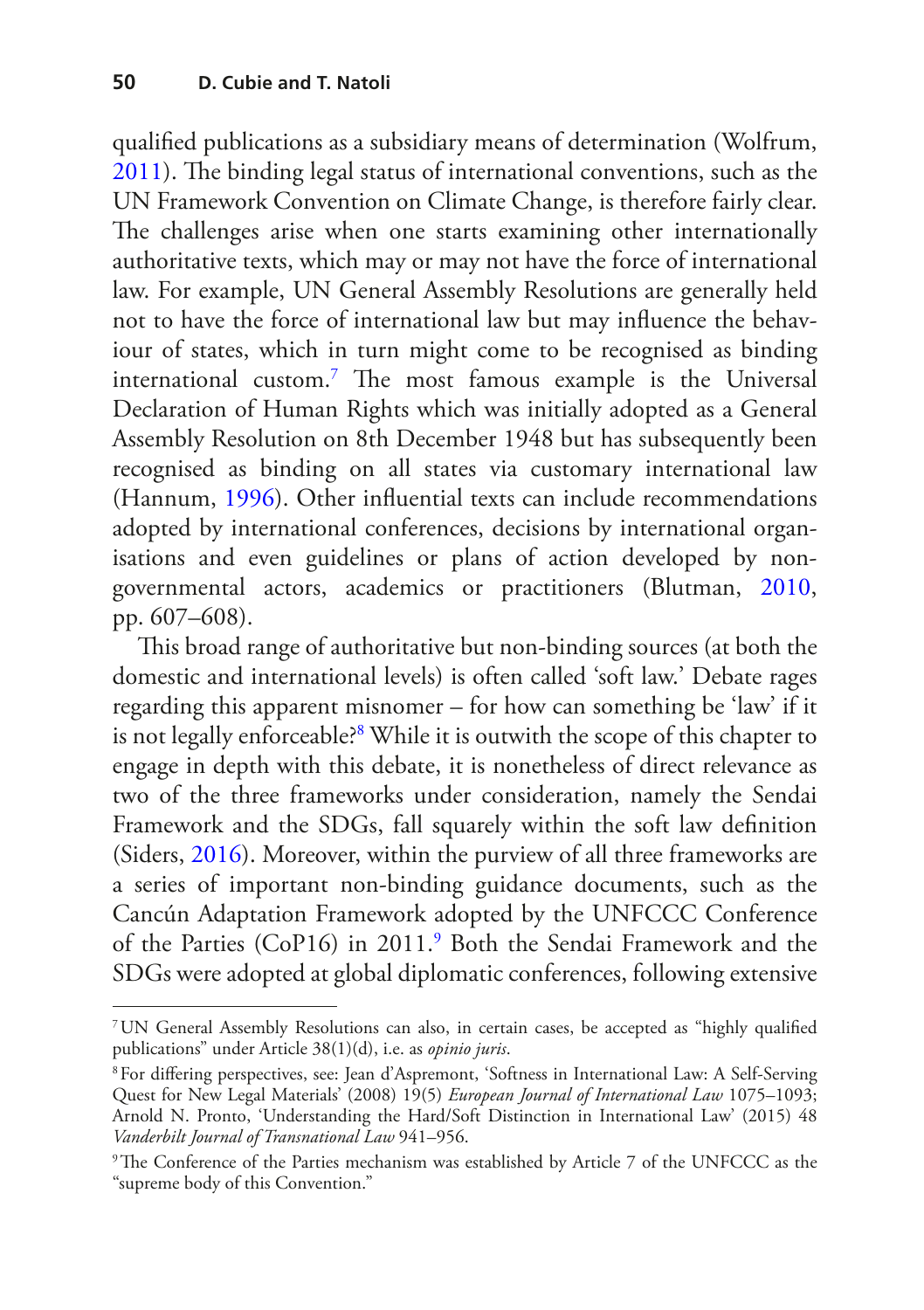qualifed publications as a subsidiary means of determination (Wolfrum, [2011](#page-20-3)). The binding legal status of international conventions, such as the UN Framework Convention on Climate Change, is therefore fairly clear. The challenges arise when one starts examining other internationally authoritative texts, which may or may not have the force of international law. For example, UN General Assembly Resolutions are generally held not to have the force of international law but may infuence the behaviour of states, which in turn might come to be recognised as binding international custom.<sup>7</sup> The most famous example is the Universal Declaration of Human Rights which was initially adopted as a General Assembly Resolution on 8th December 1948 but has subsequently been recognised as binding on all states via customary international law (Hannum, [1996\)](#page-18-3). Other infuential texts can include recommendations adopted by international conferences, decisions by international organisations and even guidelines or plans of action developed by nongovernmental actors, academics or practitioners (Blutman, [2010](#page-18-4), pp. 607–608).

This broad range of authoritative but non-binding sources (at both the domestic and international levels) is often called 'soft law.' Debate rages regarding this apparent misnomer – for how can something be 'law' if it is not legally enforceable[?8](#page-6-1) While it is outwith the scope of this chapter to engage in depth with this debate, it is nonetheless of direct relevance as two of the three frameworks under consideration, namely the Sendai Framework and the SDGs, fall squarely within the soft law defnition (Siders, [2016\)](#page-19-6). Moreover, within the purview of all three frameworks are a series of important non-binding guidance documents, such as the Cancún Adaptation Framework adopted by the UNFCCC Conference of the Parties (CoP16) in 2011[.9](#page-6-2) Both the Sendai Framework and the SDGs were adopted at global diplomatic conferences, following extensive

<span id="page-6-0"></span><sup>7</sup>UN General Assembly Resolutions can also, in certain cases, be accepted as "highly qualifed publications" under Article 38(1)(d), i.e. as *opinio juris*.

<span id="page-6-1"></span><sup>8</sup>For difering perspectives, see: Jean d'Aspremont, 'Softness in International Law: A Self-Serving Quest for New Legal Materials' (2008) 19(5) *European Journal of International Law* 1075–1093; Arnold N. Pronto, 'Understanding the Hard/Soft Distinction in International Law' (2015) 48 *Vanderbilt Journal of Transnational Law* 941–956.

<span id="page-6-2"></span><sup>&</sup>lt;sup>9</sup>The Conference of the Parties mechanism was established by Article 7 of the UNFCCC as the "supreme body of this Convention."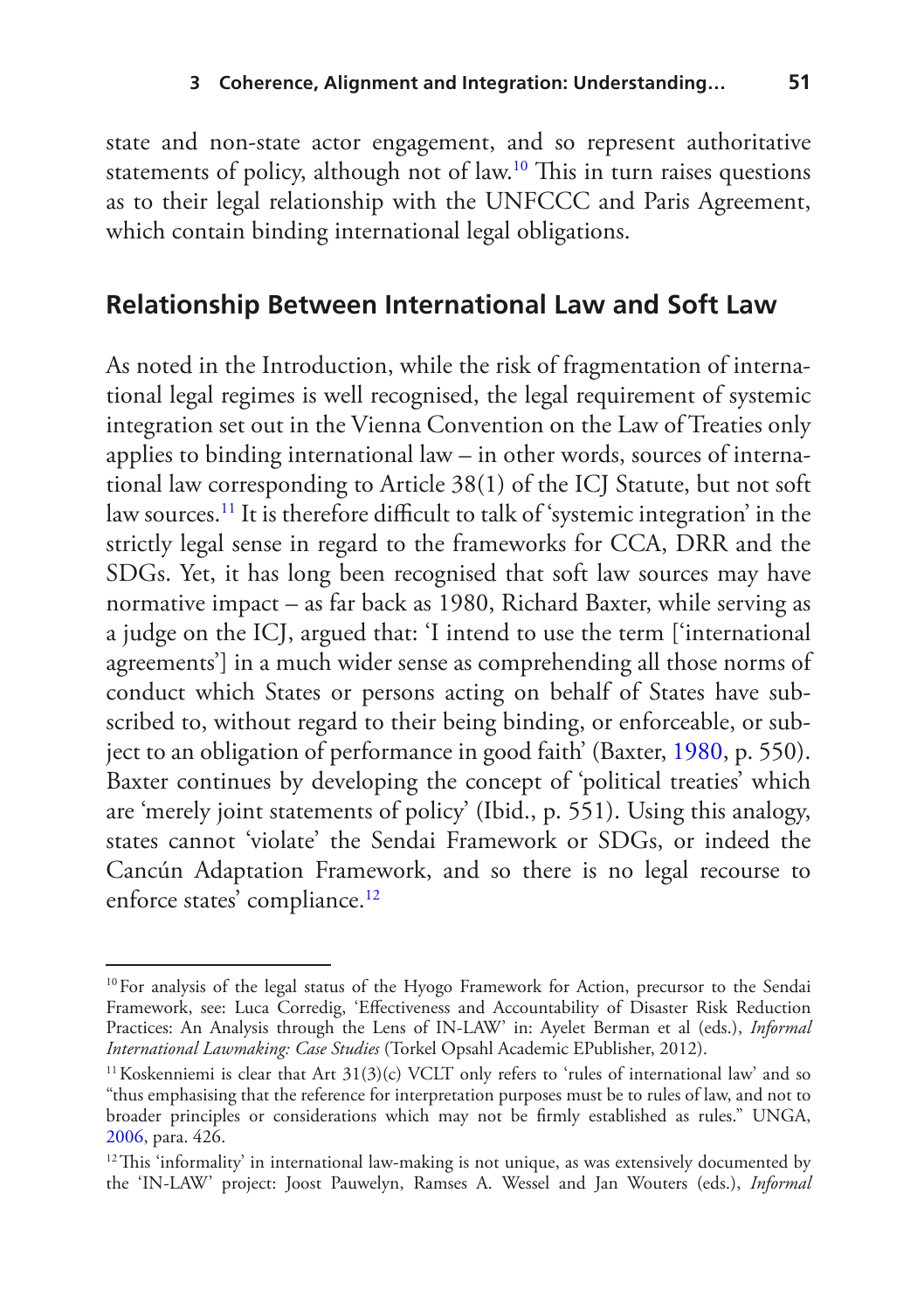state and non-state actor engagement, and so represent authoritative statements of policy, although not of law.<sup>10</sup> This in turn raises questions as to their legal relationship with the UNFCCC and Paris Agreement, which contain binding international legal obligations.

#### **Relationship Between International Law and Soft Law**

As noted in the Introduction, while the risk of fragmentation of international legal regimes is well recognised, the legal requirement of systemic integration set out in the Vienna Convention on the Law of Treaties only applies to binding international law – in other words, sources of international law corresponding to Article 38(1) of the ICJ Statute, but not soft law sources.<sup>11</sup> It is therefore difficult to talk of 'systemic integration' in the strictly legal sense in regard to the frameworks for CCA, DRR and the SDGs. Yet, it has long been recognised that soft law sources may have normative impact – as far back as 1980, Richard Baxter, while serving as a judge on the ICJ, argued that: 'I intend to use the term ['international agreements'] in a much wider sense as comprehending all those norms of conduct which States or persons acting on behalf of States have subscribed to, without regard to their being binding, or enforceable, or subject to an obligation of performance in good faith' (Baxter, [1980](#page-18-5), p. 550). Baxter continues by developing the concept of 'political treaties' which are 'merely joint statements of policy' (Ibid., p. 551). Using this analogy, states cannot 'violate' the Sendai Framework or SDGs, or indeed the Cancún Adaptation Framework, and so there is no legal recourse to enforce states' compliance.<sup>[12](#page-7-2)</sup>

<span id="page-7-0"></span><sup>&</sup>lt;sup>10</sup>For analysis of the legal status of the Hyogo Framework for Action, precursor to the Sendai Framework, see: Luca Corredig, 'Efectiveness and Accountability of Disaster Risk Reduction Practices: An Analysis through the Lens of IN-LAW' in: Ayelet Berman et al (eds.), *Informal International Lawmaking: Case Studies* (Torkel Opsahl Academic EPublisher, 2012).

<span id="page-7-1"></span><sup>&</sup>lt;sup>11</sup> Koskenniemi is clear that Art  $31(3)(c)$  VCLT only refers to 'rules of international law' and so "thus emphasising that the reference for interpretation purposes must be to rules of law, and not to broader principles or considerations which may not be frmly established as rules." UNGA, [2006](#page-20-2), para. 426.

<span id="page-7-2"></span> $12$ This 'informality' in international law-making is not unique, as was extensively documented by the 'IN-LAW' project: Joost Pauwelyn, Ramses A. Wessel and Jan Wouters (eds.), *Informal*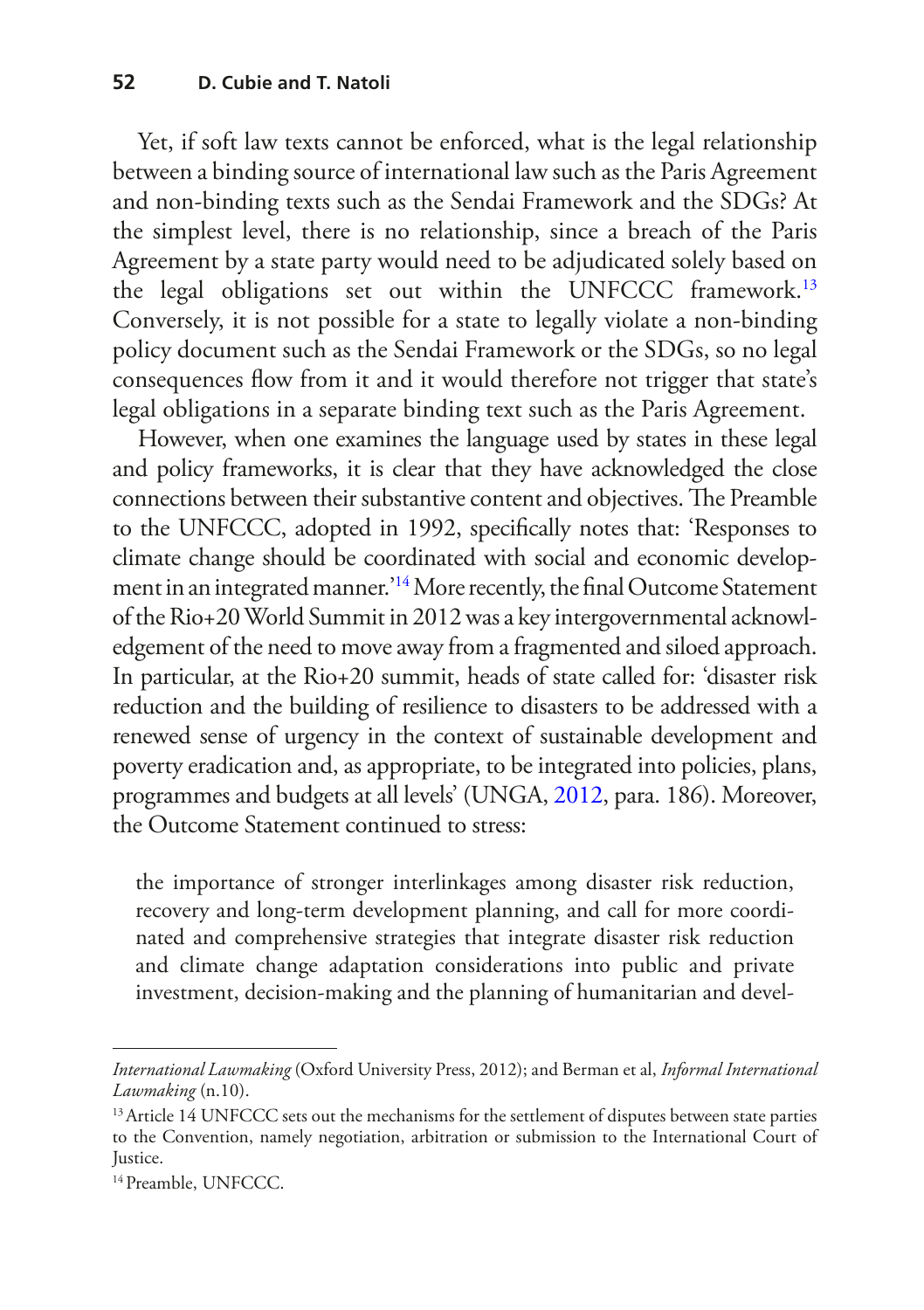Yet, if soft law texts cannot be enforced, what is the legal relationship between a binding source of international law such as the Paris Agreement and non-binding texts such as the Sendai Framework and the SDGs? At the simplest level, there is no relationship, since a breach of the Paris Agreement by a state party would need to be adjudicated solely based on the legal obligations set out within the UNFCCC framework.<sup>13</sup> Conversely, it is not possible for a state to legally violate a non-binding policy document such as the Sendai Framework or the SDGs, so no legal consequences fow from it and it would therefore not trigger that state's legal obligations in a separate binding text such as the Paris Agreement.

However, when one examines the language used by states in these legal and policy frameworks, it is clear that they have acknowledged the close connections between their substantive content and objectives. The Preamble to the UNFCCC, adopted in 1992, specifcally notes that: 'Responses to climate change should be coordinated with social and economic develop-ment in an integrated manner.<sup>['14](#page-8-1)</sup> More recently, the final Outcome Statement of the Rio+20 World Summit in 2012 was a key intergovernmental acknowledgement of the need to move away from a fragmented and siloed approach. In particular, at the Rio+20 summit, heads of state called for: 'disaster risk reduction and the building of resilience to disasters to be addressed with a renewed sense of urgency in the context of sustainable development and poverty eradication and, as appropriate, to be integrated into policies, plans, programmes and budgets at all levels' (UNGA, [2012,](#page-20-4) para. 186). Moreover, the Outcome Statement continued to stress:

the importance of stronger interlinkages among disaster risk reduction, recovery and long-term development planning, and call for more coordinated and comprehensive strategies that integrate disaster risk reduction and climate change adaptation considerations into public and private investment, decision-making and the planning of humanitarian and devel-

*International Lawmaking* (Oxford University Press, 2012); and Berman et al, *Informal International Lawmaking* (n.10).

<span id="page-8-0"></span><sup>&</sup>lt;sup>13</sup> Article 14 UNFCCC sets out the mechanisms for the settlement of disputes between state parties to the Convention, namely negotiation, arbitration or submission to the International Court of Justice.

<span id="page-8-1"></span><sup>&</sup>lt;sup>14</sup> Preamble, UNFCCC.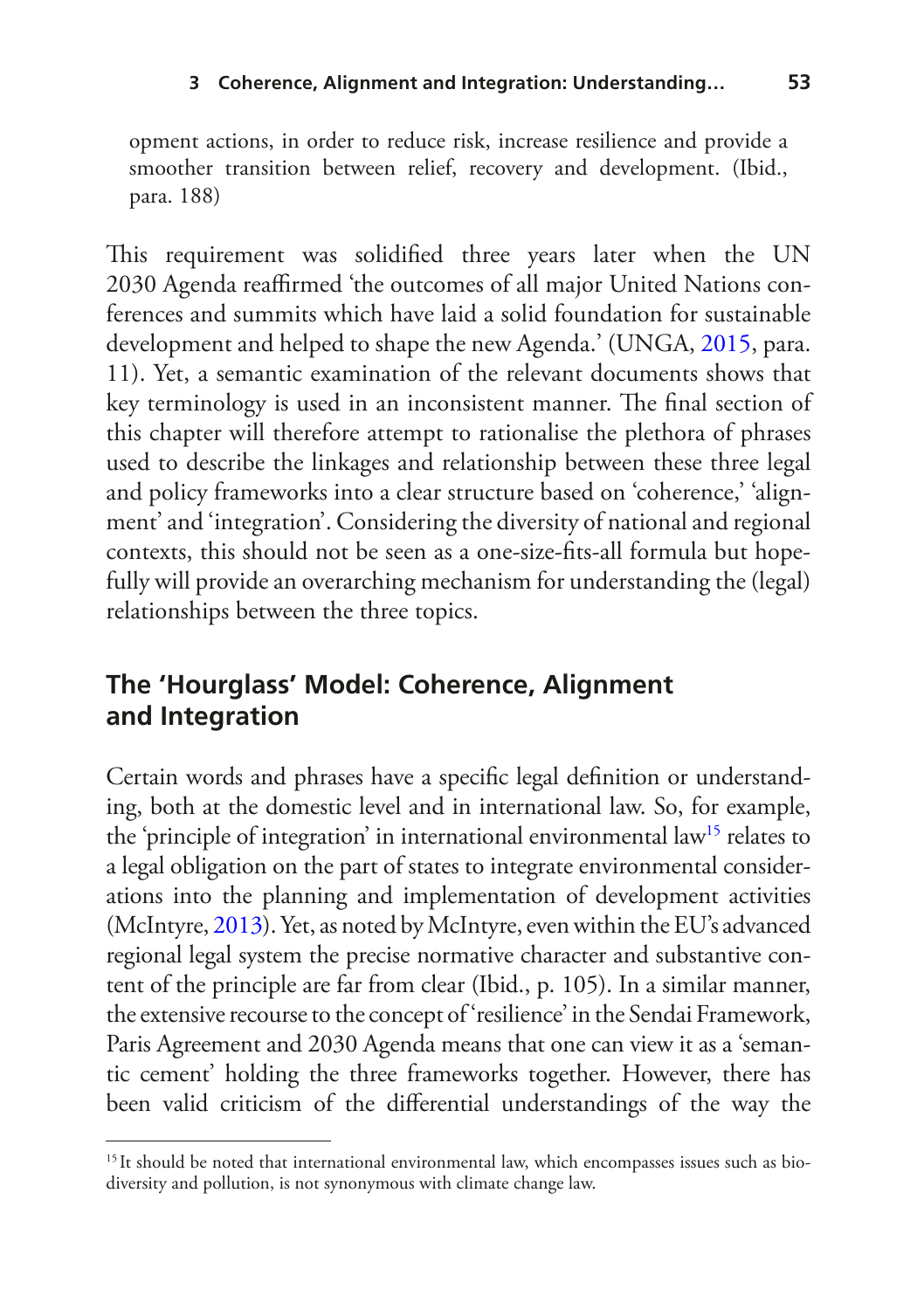opment actions, in order to reduce risk, increase resilience and provide a smoother transition between relief, recovery and development. (Ibid., para. 188)

This requirement was solidified three years later when the UN 2030 Agenda reafrmed 'the outcomes of all major United Nations conferences and summits which have laid a solid foundation for sustainable development and helped to shape the new Agenda.' (UNGA, [2015](#page-20-0), para. 11). Yet, a semantic examination of the relevant documents shows that key terminology is used in an inconsistent manner. The final section of this chapter will therefore attempt to rationalise the plethora of phrases used to describe the linkages and relationship between these three legal and policy frameworks into a clear structure based on 'coherence,' 'alignment' and 'integration'. Considering the diversity of national and regional contexts, this should not be seen as a one-size-fts-all formula but hopefully will provide an overarching mechanism for understanding the (legal) relationships between the three topics.

#### **The 'Hourglass' Model: Coherence, Alignment and Integration**

Certain words and phrases have a specifc legal defnition or understanding, both at the domestic level and in international law. So, for example, the 'principle of integration' in international environmental law<sup>15</sup> relates to a legal obligation on the part of states to integrate environmental considerations into the planning and implementation of development activities (McIntyre, [2013](#page-19-7)). Yet, as noted by McIntyre, even within the EU's advanced regional legal system the precise normative character and substantive content of the principle are far from clear (Ibid., p. 105). In a similar manner, the extensive recourse to the concept of 'resilience' in the Sendai Framework, Paris Agreement and 2030 Agenda means that one can view it as a 'semantic cement' holding the three frameworks together. However, there has been valid criticism of the diferential understandings of the way the

<span id="page-9-0"></span><sup>&</sup>lt;sup>15</sup>It should be noted that international environmental law, which encompasses issues such as biodiversity and pollution, is not synonymous with climate change law.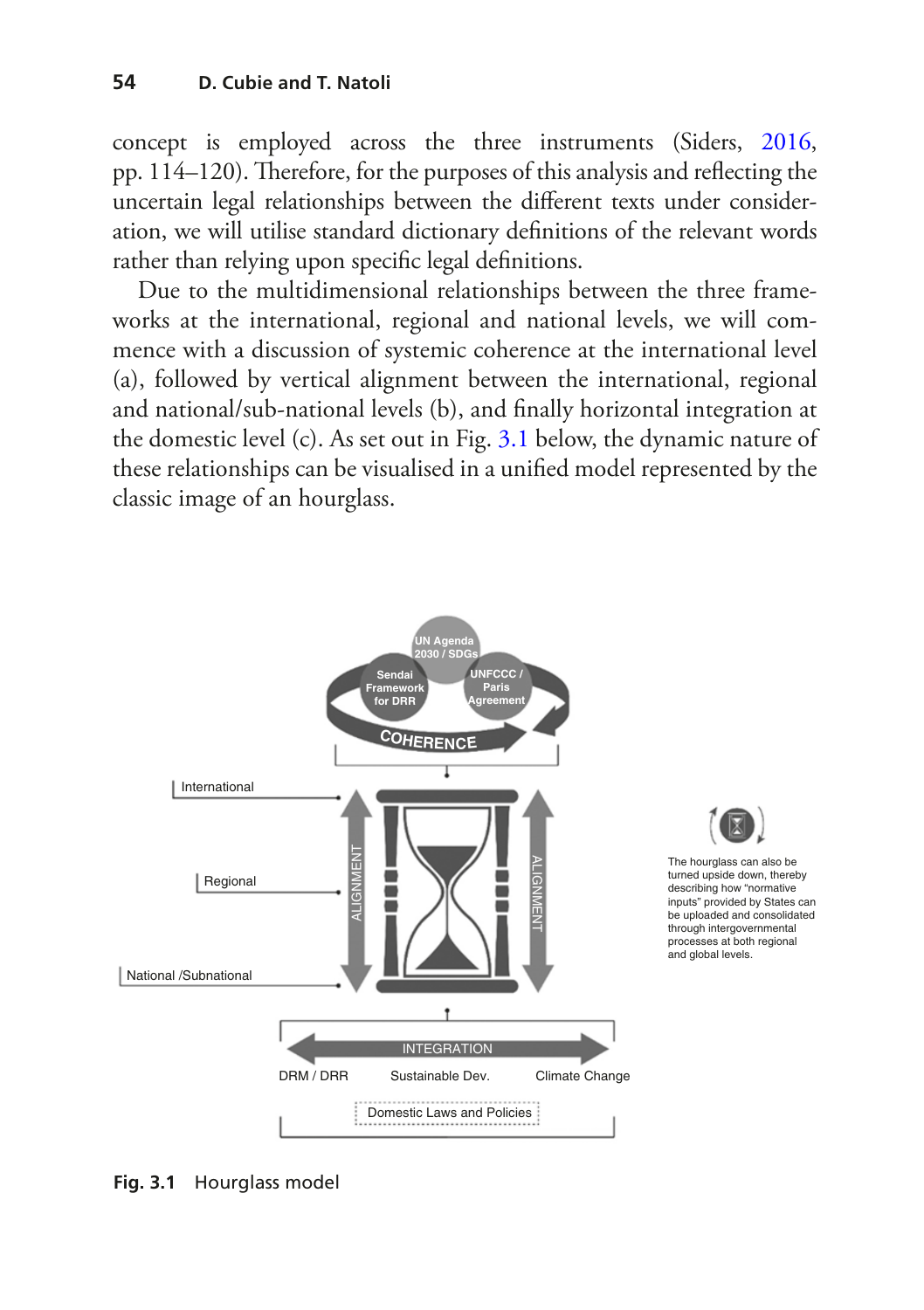concept is employed across the three instruments (Siders, [2016](#page-19-6), pp. 114–120). Therefore, for the purposes of this analysis and reflecting the uncertain legal relationships between the diferent texts under consideration, we will utilise standard dictionary defnitions of the relevant words rather than relying upon specifc legal defnitions.

Due to the multidimensional relationships between the three frameworks at the international, regional and national levels, we will commence with a discussion of systemic coherence at the international level (a), followed by vertical alignment between the international, regional and national/sub-national levels (b), and fnally horizontal integration at the domestic level (c). As set out in Fig. [3.1](#page-10-0) below, the dynamic nature of these relationships can be visualised in a unifed model represented by the classic image of an hourglass.

<span id="page-10-0"></span>

**Fig. 3.1** Hourglass model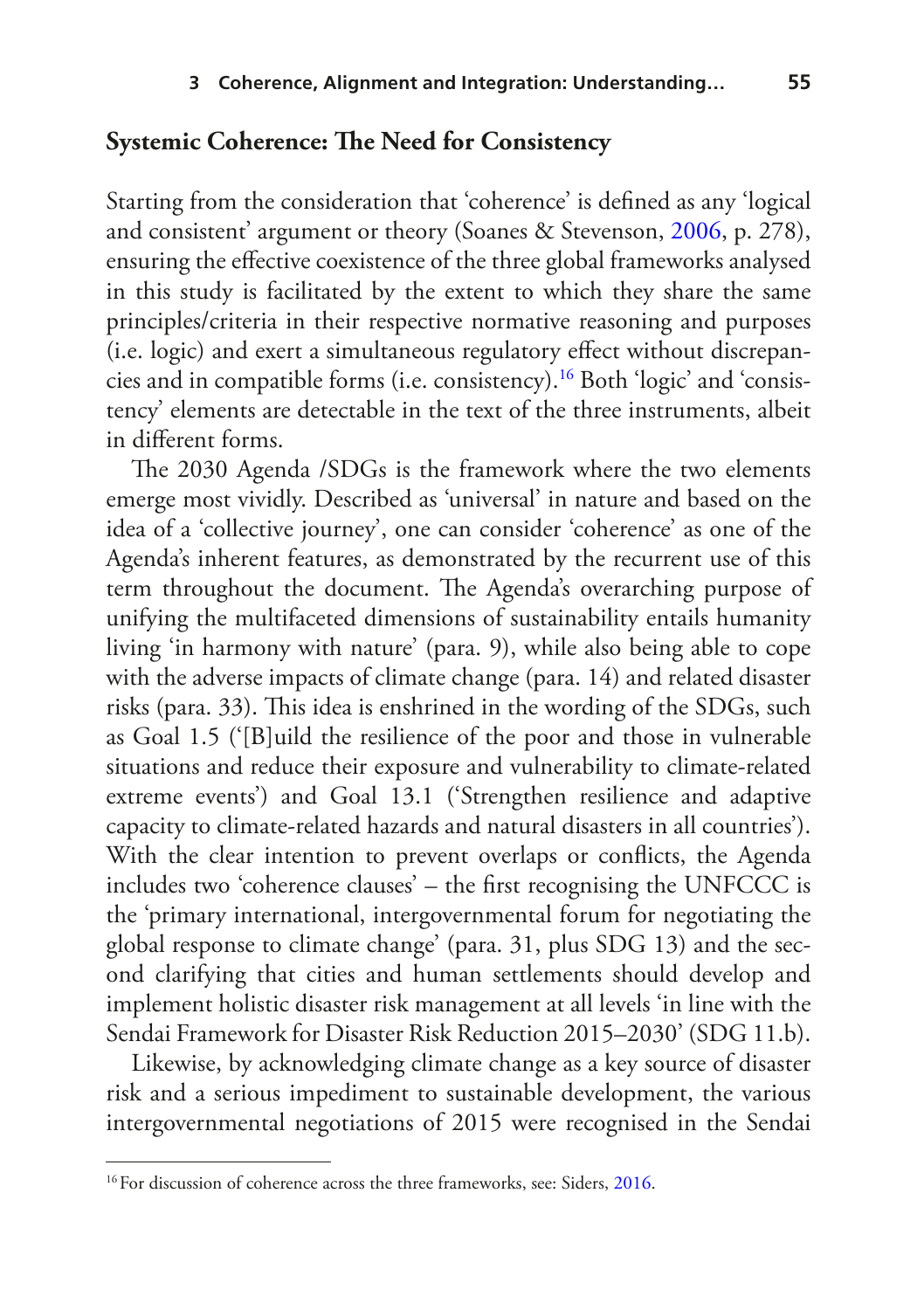#### **Systemic Coherence: The Need for Consistency**

Starting from the consideration that 'coherence' is defned as any 'logical and consistent' argument or theory (Soanes & Stevenson, [2006,](#page-19-8) p. 278), ensuring the efective coexistence of the three global frameworks analysed in this study is facilitated by the extent to which they share the same principles/criteria in their respective normative reasoning and purposes (i.e. logic) and exert a simultaneous regulatory efect without discrepancies and in compatible forms (i.e. consistency).[16](#page-11-0) Both 'logic' and 'consistency' elements are detectable in the text of the three instruments, albeit in diferent forms.

The 2030 Agenda /SDGs is the framework where the two elements emerge most vividly. Described as 'universal' in nature and based on the idea of a 'collective journey', one can consider 'coherence' as one of the Agenda's inherent features, as demonstrated by the recurrent use of this term throughout the document. The Agenda's overarching purpose of unifying the multifaceted dimensions of sustainability entails humanity living 'in harmony with nature' (para. 9), while also being able to cope with the adverse impacts of climate change (para. 14) and related disaster risks (para. 33). This idea is enshrined in the wording of the SDGs, such as Goal 1.5 ('[B]uild the resilience of the poor and those in vulnerable situations and reduce their exposure and vulnerability to climate-related extreme events') and Goal 13.1 ('Strengthen resilience and adaptive capacity to climate-related hazards and natural disasters in all countries'). With the clear intention to prevent overlaps or conficts, the Agenda includes two 'coherence clauses' – the frst recognising the UNFCCC is the 'primary international, intergovernmental forum for negotiating the global response to climate change' (para. 31, plus SDG 13) and the second clarifying that cities and human settlements should develop and implement holistic disaster risk management at all levels 'in line with the Sendai Framework for Disaster Risk Reduction 2015–2030' (SDG 11.b).

Likewise, by acknowledging climate change as a key source of disaster risk and a serious impediment to sustainable development, the various intergovernmental negotiations of 2015 were recognised in the Sendai

<span id="page-11-0"></span><sup>&</sup>lt;sup>16</sup>For discussion of coherence across the three frameworks, see: Siders, [2016.](#page-19-6)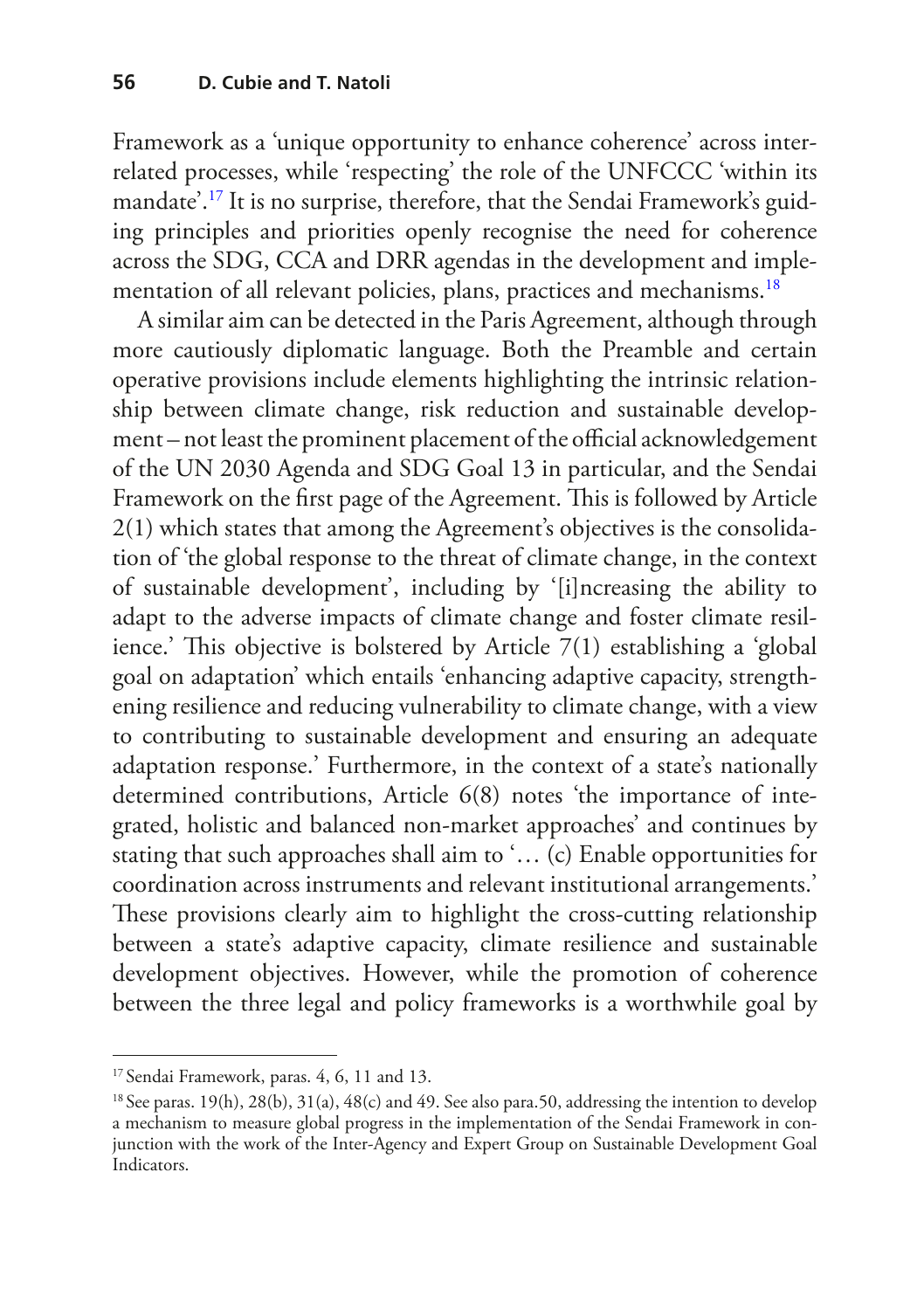Framework as a 'unique opportunity to enhance coherence' across interrelated processes, while 'respecting' the role of the UNFCCC 'within its mandate'.[17](#page-12-0) It is no surprise, therefore, that the Sendai Framework's guiding principles and priorities openly recognise the need for coherence across the SDG, CCA and DRR agendas in the development and imple-mentation of all relevant policies, plans, practices and mechanisms.<sup>[18](#page-12-1)</sup>

A similar aim can be detected in the Paris Agreement, although through more cautiously diplomatic language. Both the Preamble and certain operative provisions include elements highlighting the intrinsic relationship between climate change, risk reduction and sustainable development – not least the prominent placement of the official acknowledgement of the UN 2030 Agenda and SDG Goal 13 in particular, and the Sendai Framework on the first page of the Agreement. This is followed by Article 2(1) which states that among the Agreement's objectives is the consolidation of 'the global response to the threat of climate change, in the context of sustainable development', including by '[i]ncreasing the ability to adapt to the adverse impacts of climate change and foster climate resilience.' This objective is bolstered by Article  $7(1)$  establishing a 'global goal on adaptation' which entails 'enhancing adaptive capacity, strengthening resilience and reducing vulnerability to climate change, with a view to contributing to sustainable development and ensuring an adequate adaptation response.' Furthermore, in the context of a state's nationally determined contributions, Article 6(8) notes 'the importance of integrated, holistic and balanced non-market approaches' and continues by stating that such approaches shall aim to '… (c) Enable opportunities for coordination across instruments and relevant institutional arrangements.' These provisions clearly aim to highlight the cross-cutting relationship between a state's adaptive capacity, climate resilience and sustainable development objectives. However, while the promotion of coherence between the three legal and policy frameworks is a worthwhile goal by

<span id="page-12-0"></span><sup>&</sup>lt;sup>17</sup> Sendai Framework, paras. 4, 6, 11 and 13.

<span id="page-12-1"></span><sup>&</sup>lt;sup>18</sup> See paras. 19(h), 28(b), 31(a), 48(c) and 49. See also para.50, addressing the intention to develop a mechanism to measure global progress in the implementation of the Sendai Framework in conjunction with the work of the Inter-Agency and Expert Group on Sustainable Development Goal Indicators.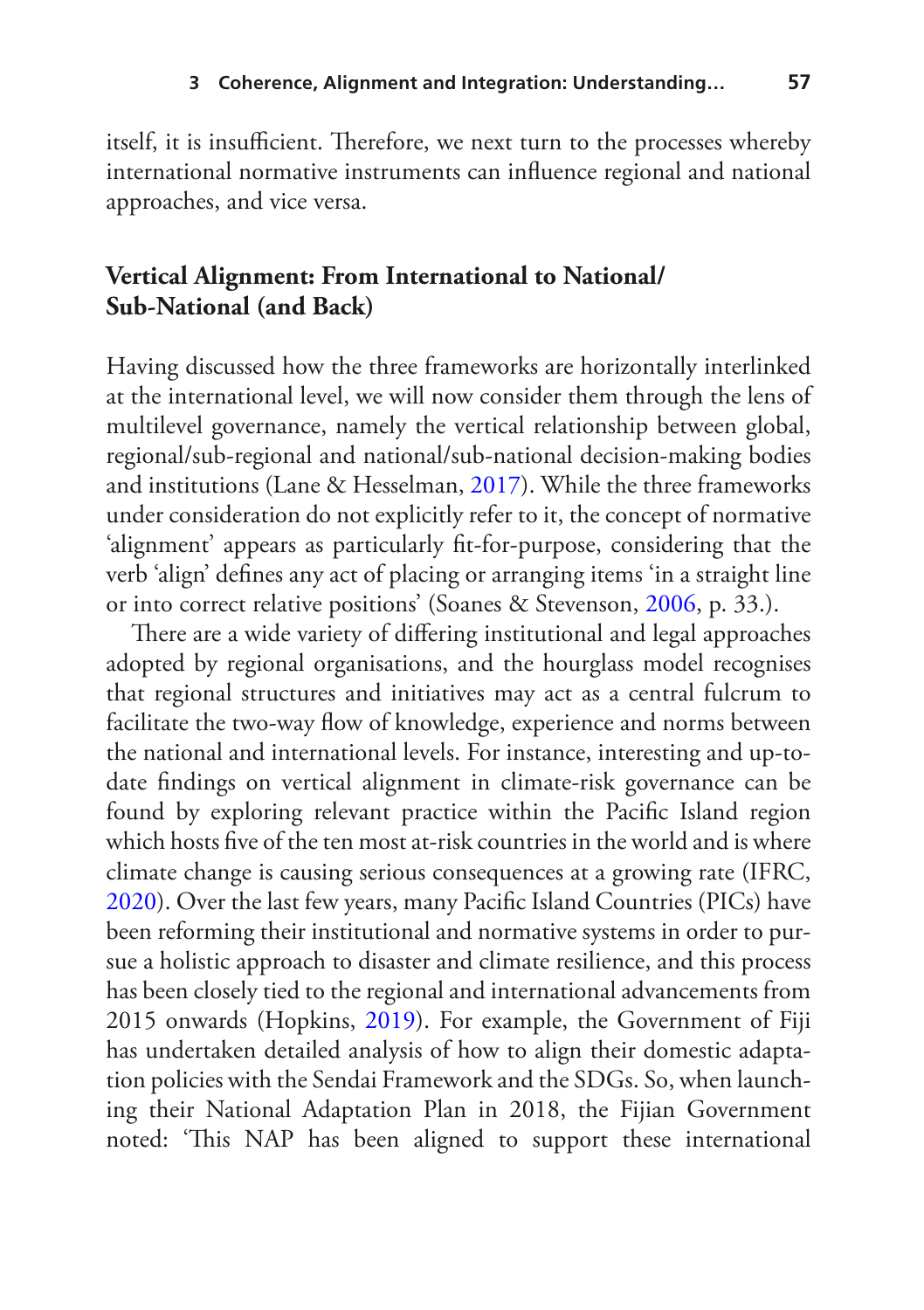itself, it is insufficient. Therefore, we next turn to the processes whereby international normative instruments can infuence regional and national approaches, and vice versa.

#### **Vertical Alignment: From International to National/ Sub-National (and Back)**

Having discussed how the three frameworks are horizontally interlinked at the international level, we will now consider them through the lens of multilevel governance, namely the vertical relationship between global, regional/sub-regional and national/sub-national decision-making bodies and institutions (Lane & Hesselman, [2017\)](#page-18-6). While the three frameworks under consideration do not explicitly refer to it, the concept of normative 'alignment' appears as particularly ft-for-purpose, considering that the verb 'align' defnes any act of placing or arranging items 'in a straight line or into correct relative positions' (Soanes & Stevenson, [2006](#page-19-8), p. 33.).

There are a wide variety of differing institutional and legal approaches adopted by regional organisations, and the hourglass model recognises that regional structures and initiatives may act as a central fulcrum to facilitate the two-way flow of knowledge, experience and norms between the national and international levels. For instance, interesting and up-todate fndings on vertical alignment in climate-risk governance can be found by exploring relevant practice within the Pacifc Island region which hosts fve of the ten most at-risk countries in the world and is where climate change is causing serious consequences at a growing rate (IFRC, [2020](#page-18-7)). Over the last few years, many Pacifc Island Countries (PICs) have been reforming their institutional and normative systems in order to pursue a holistic approach to disaster and climate resilience, and this process has been closely tied to the regional and international advancements from 2015 onwards (Hopkins, [2019\)](#page-18-8). For example, the Government of Fiji has undertaken detailed analysis of how to align their domestic adaptation policies with the Sendai Framework and the SDGs. So, when launching their National Adaptation Plan in 2018, the Fijian Government noted: 'This NAP has been aligned to support these international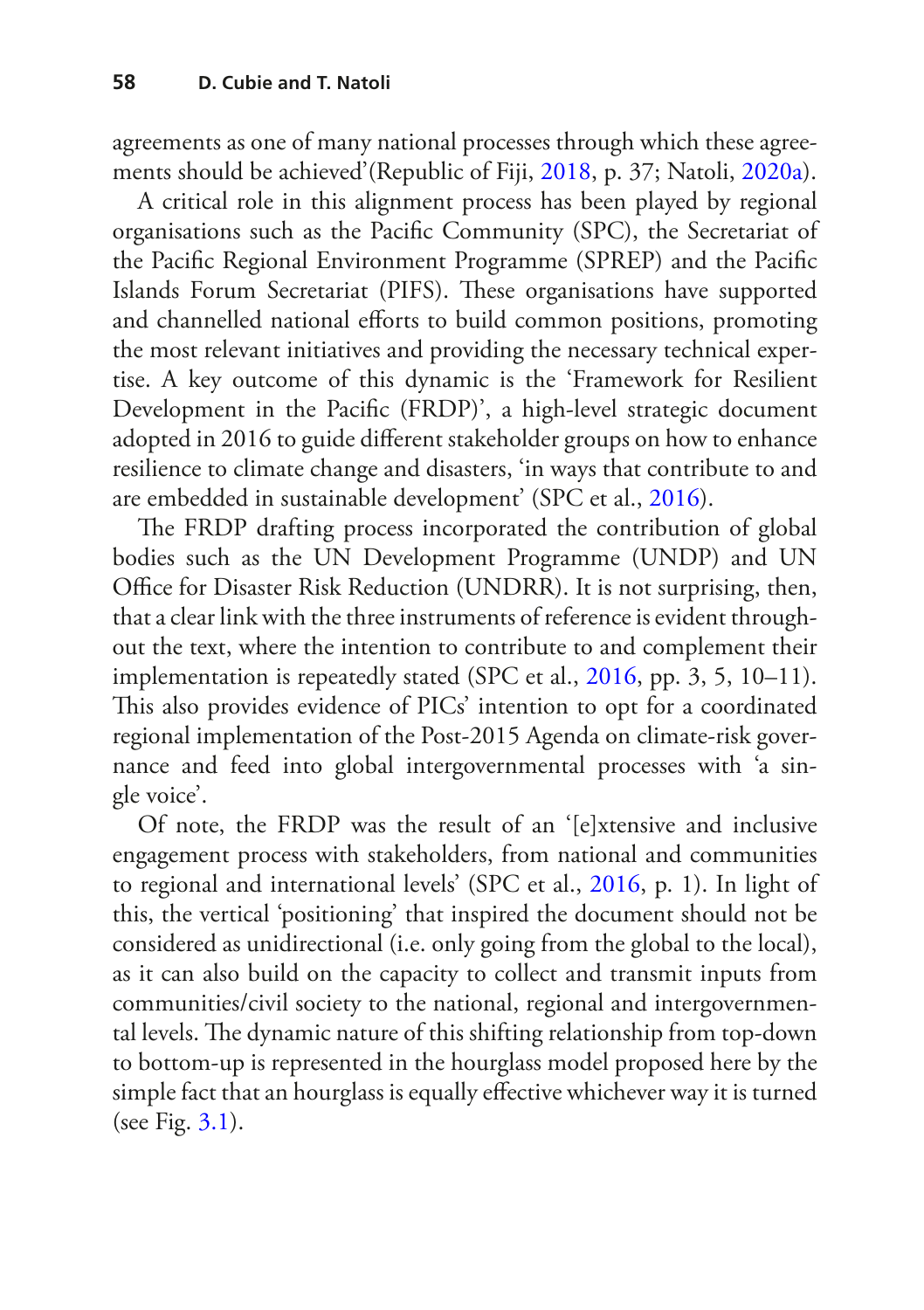agreements as one of many national processes through which these agreements should be achieved'(Republic of Fiji, [2018,](#page-19-9) p. 37; Natoli, [2020a\)](#page-19-10).

A critical role in this alignment process has been played by regional organisations such as the Pacifc Community (SPC), the Secretariat of the Pacifc Regional Environment Programme (SPREP) and the Pacifc Islands Forum Secretariat (PIFS). These organisations have supported and channelled national eforts to build common positions, promoting the most relevant initiatives and providing the necessary technical expertise. A key outcome of this dynamic is the 'Framework for Resilient Development in the Pacifc (FRDP)', a high-level strategic document adopted in 2016 to guide diferent stakeholder groups on how to enhance resilience to climate change and disasters, 'in ways that contribute to and are embedded in sustainable development' (SPC et al., [2016\)](#page-19-11).

The FRDP drafting process incorporated the contribution of global bodies such as the UN Development Programme (UNDP) and UN Office for Disaster Risk Reduction (UNDRR). It is not surprising, then, that a clear link with the three instruments of reference is evident throughout the text, where the intention to contribute to and complement their implementation is repeatedly stated (SPC et al., [2016](#page-19-11), pp. 3, 5, 10–11). This also provides evidence of PICs' intention to opt for a coordinated regional implementation of the Post-2015 Agenda on climate-risk governance and feed into global intergovernmental processes with 'a single voice'.

Of note, the FRDP was the result of an '[e]xtensive and inclusive engagement process with stakeholders, from national and communities to regional and international levels' (SPC et al., [2016,](#page-19-11) p. 1). In light of this, the vertical 'positioning' that inspired the document should not be considered as unidirectional (i.e. only going from the global to the local), as it can also build on the capacity to collect and transmit inputs from communities/civil society to the national, regional and intergovernmental levels. The dynamic nature of this shifting relationship from top-down to bottom-up is represented in the hourglass model proposed here by the simple fact that an hourglass is equally effective whichever way it is turned (see Fig. [3.1](#page-10-0)).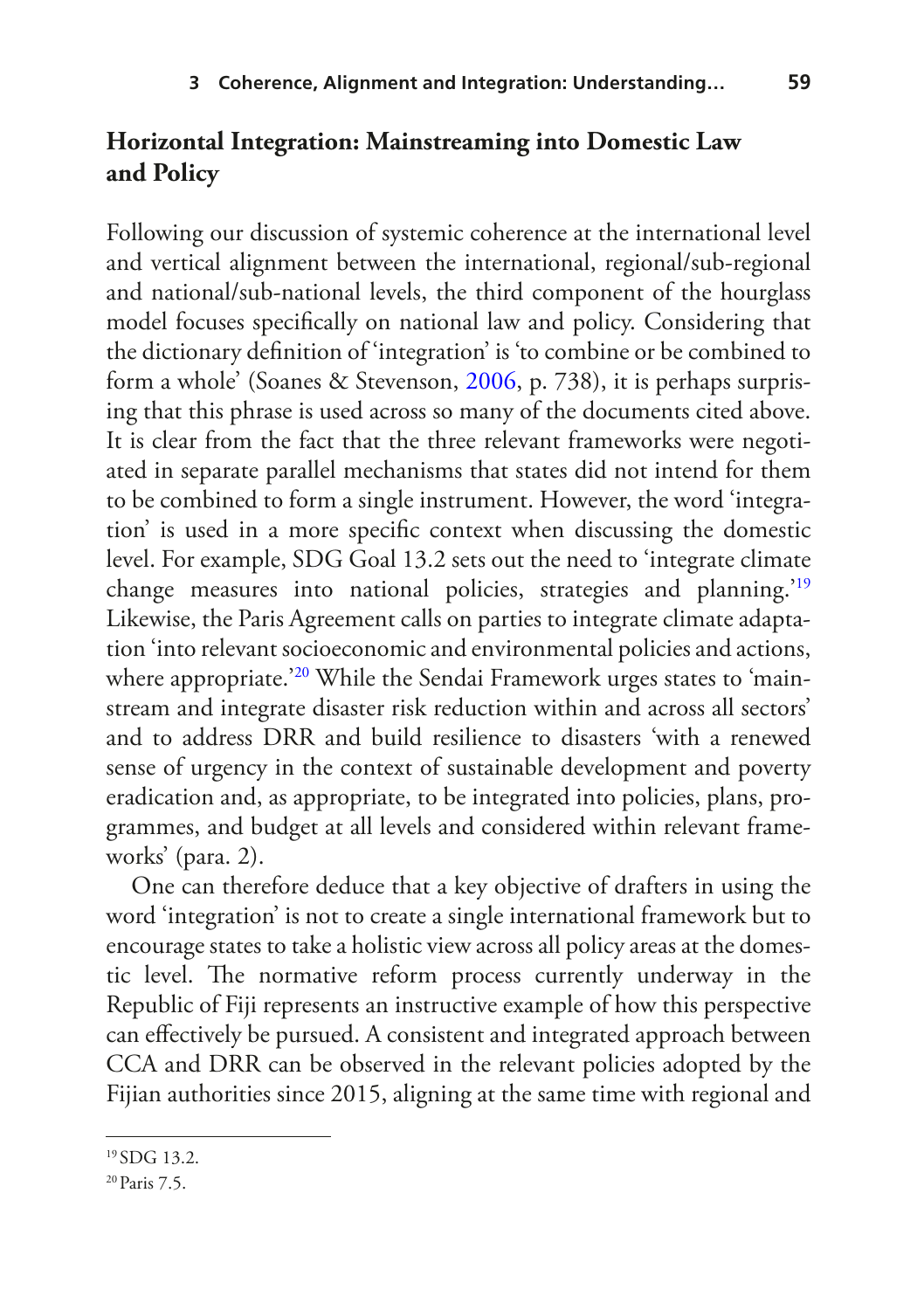#### **Horizontal Integration: Mainstreaming into Domestic Law and Policy**

Following our discussion of systemic coherence at the international level and vertical alignment between the international, regional/sub-regional and national/sub-national levels, the third component of the hourglass model focuses specifcally on national law and policy. Considering that the dictionary defnition of 'integration' is 'to combine or be combined to form a whole' (Soanes & Stevenson, [2006,](#page-19-8) p. 738), it is perhaps surprising that this phrase is used across so many of the documents cited above. It is clear from the fact that the three relevant frameworks were negotiated in separate parallel mechanisms that states did not intend for them to be combined to form a single instrument. However, the word 'integration' is used in a more specifc context when discussing the domestic level. For example, SDG Goal 13.2 sets out the need to 'integrate climate change measures into national policies, strategies and planning.'[19](#page-15-0) Likewise, the Paris Agreement calls on parties to integrate climate adaptation 'into relevant socioeconomic and environmental policies and actions, where appropriate.<sup>20</sup> While the Sendai Framework urges states to 'mainstream and integrate disaster risk reduction within and across all sectors' and to address DRR and build resilience to disasters 'with a renewed sense of urgency in the context of sustainable development and poverty eradication and, as appropriate, to be integrated into policies, plans, programmes, and budget at all levels and considered within relevant frameworks' (para. 2).

One can therefore deduce that a key objective of drafters in using the word 'integration' is not to create a single international framework but to encourage states to take a holistic view across all policy areas at the domestic level. The normative reform process currently underway in the Republic of Fiji represents an instructive example of how this perspective can efectively be pursued. A consistent and integrated approach between CCA and DRR can be observed in the relevant policies adopted by the Fijian authorities since 2015, aligning at the same time with regional and

<span id="page-15-0"></span><sup>19</sup> SDG 13.2.

<span id="page-15-1"></span><sup>20</sup>Paris 7.5.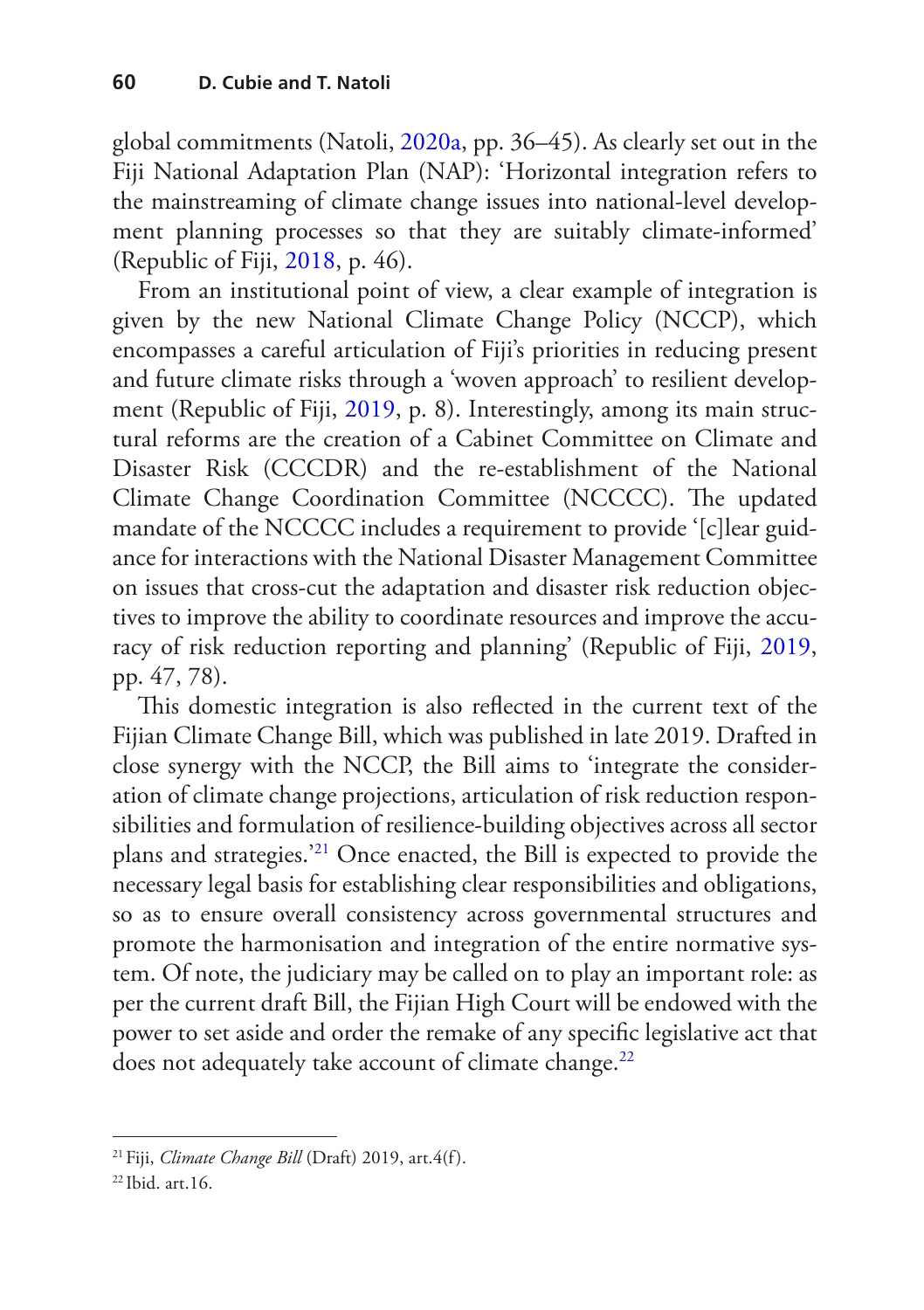global commitments (Natoli, [2020a,](#page-19-10) pp. 36–45). As clearly set out in the Fiji National Adaptation Plan (NAP): 'Horizontal integration refers to the mainstreaming of climate change issues into national-level development planning processes so that they are suitably climate-informed' (Republic of Fiji, [2018](#page-19-9), p. 46).

From an institutional point of view, a clear example of integration is given by the new National Climate Change Policy (NCCP), which encompasses a careful articulation of Fiji's priorities in reducing present and future climate risks through a 'woven approach' to resilient development (Republic of Fiji, [2019,](#page-19-12) p. 8). Interestingly, among its main structural reforms are the creation of a Cabinet Committee on Climate and Disaster Risk (CCCDR) and the re-establishment of the National Climate Change Coordination Committee (NCCCC). The updated mandate of the NCCCC includes a requirement to provide '[c]lear guidance for interactions with the National Disaster Management Committee on issues that cross-cut the adaptation and disaster risk reduction objectives to improve the ability to coordinate resources and improve the accuracy of risk reduction reporting and planning' (Republic of Fiji, [2019](#page-19-12), pp. 47, 78).

This domestic integration is also reflected in the current text of the Fijian Climate Change Bill, which was published in late 2019. Drafted in close synergy with the NCCP, the Bill aims to 'integrate the consideration of climate change projections, articulation of risk reduction responsibilities and formulation of resilience-building objectives across all sector plans and strategies.'[21](#page-16-0) Once enacted, the Bill is expected to provide the necessary legal basis for establishing clear responsibilities and obligations, so as to ensure overall consistency across governmental structures and promote the harmonisation and integration of the entire normative system. Of note, the judiciary may be called on to play an important role: as per the current draft Bill, the Fijian High Court will be endowed with the power to set aside and order the remake of any specifc legislative act that does not adequately take account of climate change.<sup>22</sup>

<span id="page-16-0"></span><sup>&</sup>lt;sup>21</sup> Fiji, *Climate Change Bill* (Draft) 2019, art.4(f).

<span id="page-16-1"></span><sup>22</sup> Ibid. art.16.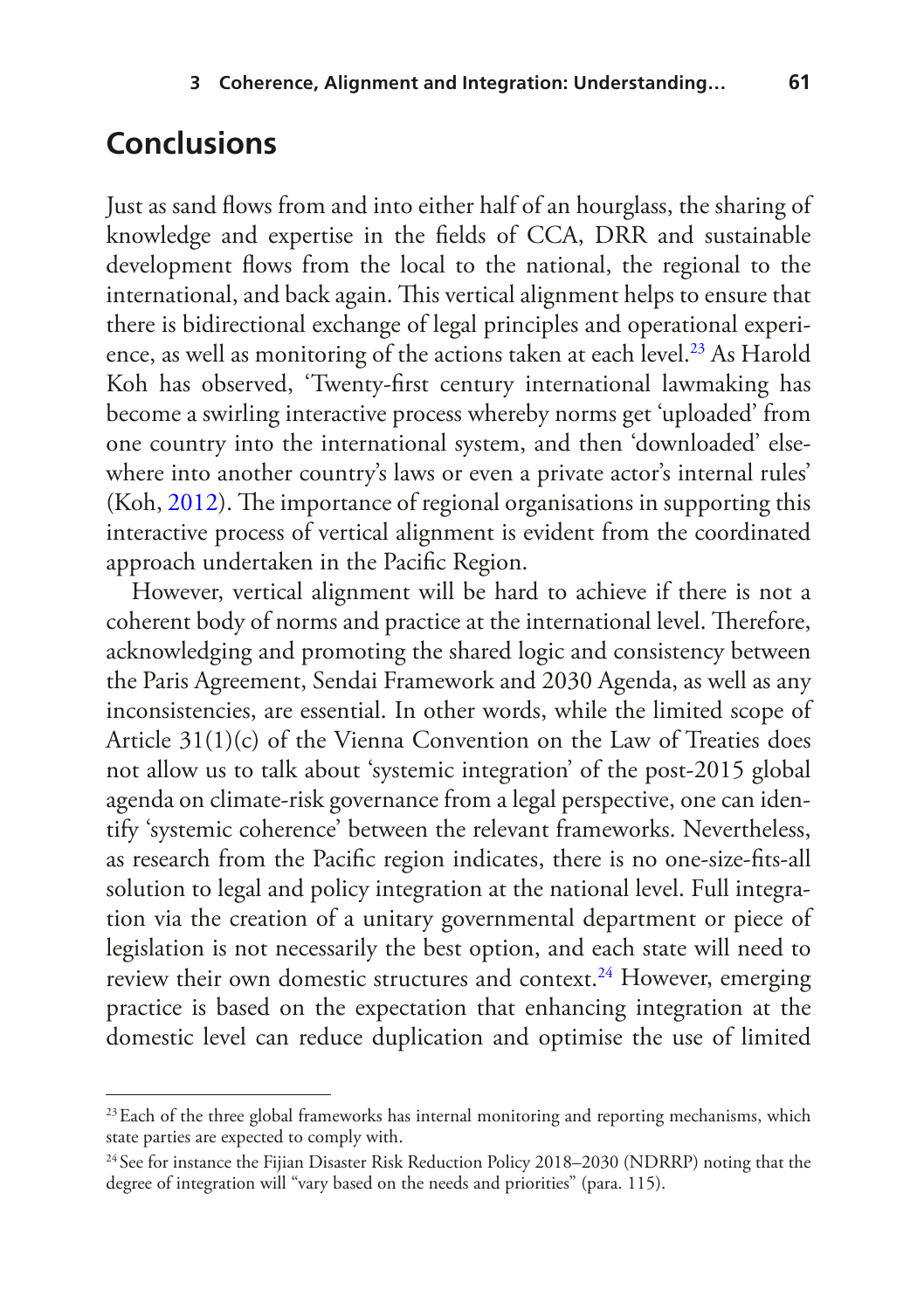## **Conclusions**

Just as sand flows from and into either half of an hourglass, the sharing of knowledge and expertise in the felds of CCA, DRR and sustainable development fows from the local to the national, the regional to the international, and back again. This vertical alignment helps to ensure that there is bidirectional exchange of legal principles and operational experience, as well as monitoring of the actions taken at each level.[23](#page-17-0) As Harold Koh has observed, 'Twenty-frst century international lawmaking has become a swirling interactive process whereby norms get 'uploaded' from one country into the international system, and then 'downloaded' elsewhere into another country's laws or even a private actor's internal rules'  $(Koh, 2012)$  $(Koh, 2012)$  $(Koh, 2012)$ . The importance of regional organisations in supporting this interactive process of vertical alignment is evident from the coordinated approach undertaken in the Pacifc Region.

However, vertical alignment will be hard to achieve if there is not a coherent body of norms and practice at the international level. Therefore, acknowledging and promoting the shared logic and consistency between the Paris Agreement, Sendai Framework and 2030 Agenda, as well as any inconsistencies, are essential. In other words, while the limited scope of Article 31(1)(c) of the Vienna Convention on the Law of Treaties does not allow us to talk about 'systemic integration' of the post-2015 global agenda on climate-risk governance from a legal perspective, one can identify 'systemic coherence' between the relevant frameworks. Nevertheless, as research from the Pacifc region indicates, there is no one-size-fts-all solution to legal and policy integration at the national level. Full integration via the creation of a unitary governmental department or piece of legislation is not necessarily the best option, and each state will need to review their own domestic structures and context.<sup>24</sup> However, emerging practice is based on the expectation that enhancing integration at the domestic level can reduce duplication and optimise the use of limited

<span id="page-17-0"></span><sup>&</sup>lt;sup>23</sup> Each of the three global frameworks has internal monitoring and reporting mechanisms, which state parties are expected to comply with.

<span id="page-17-1"></span><sup>&</sup>lt;sup>24</sup> See for instance the Fijian Disaster Risk Reduction Policy 2018–2030 (NDRRP) noting that the degree of integration will "vary based on the needs and priorities" (para. 115).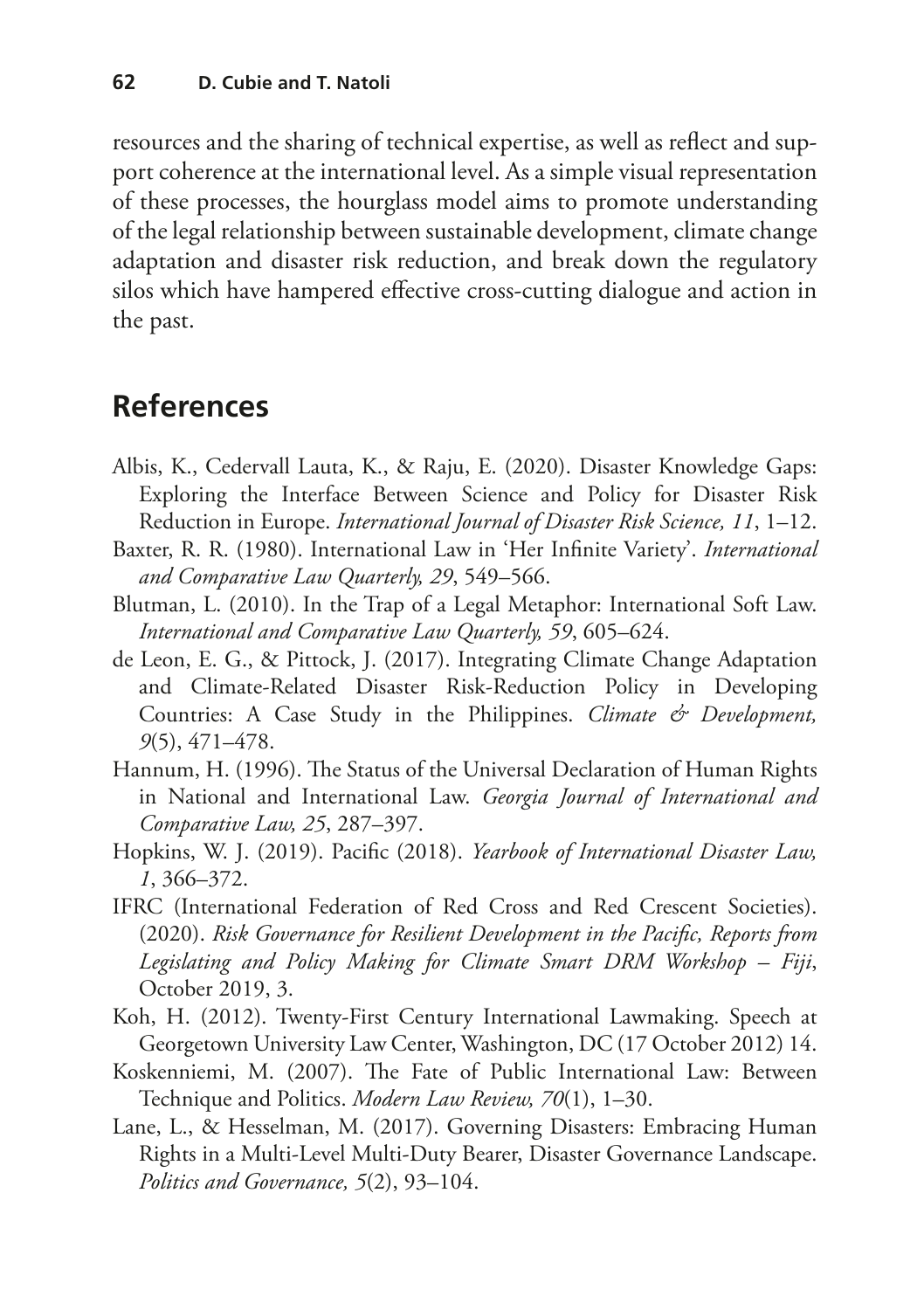resources and the sharing of technical expertise, as well as refect and support coherence at the international level. As a simple visual representation of these processes, the hourglass model aims to promote understanding of the legal relationship between sustainable development, climate change adaptation and disaster risk reduction, and break down the regulatory silos which have hampered efective cross-cutting dialogue and action in the past.

## **References**

- <span id="page-18-2"></span>Albis, K., Cedervall Lauta, K., & Raju, E. (2020). Disaster Knowledge Gaps: Exploring the Interface Between Science and Policy for Disaster Risk Reduction in Europe. *International Journal of Disaster Risk Science, 11*, 1–12.
- <span id="page-18-5"></span>Baxter, R. R. (1980). International Law in 'Her Infnite Variety'. *International and Comparative Law Quarterly, 29*, 549–566.
- <span id="page-18-4"></span>Blutman, L. (2010). In the Trap of a Legal Metaphor: International Soft Law. *International and Comparative Law Quarterly, 59*, 605–624.
- <span id="page-18-1"></span>de Leon, E. G., & Pittock, J. (2017). Integrating Climate Change Adaptation and Climate-Related Disaster Risk-Reduction Policy in Developing Countries: A Case Study in the Philippines. *Climate & Development, 9*(5), 471–478.
- <span id="page-18-3"></span>Hannum, H. (1996). The Status of the Universal Declaration of Human Rights in National and International Law. *Georgia Journal of International and Comparative Law, 25*, 287–397.
- <span id="page-18-8"></span>Hopkins, W. J. (2019). Pacifc (2018). *Yearbook of International Disaster Law, 1*, 366–372.
- <span id="page-18-7"></span>IFRC (International Federation of Red Cross and Red Crescent Societies). (2020). *Risk Governance for Resilient Development in the Pacifc, Reports from Legislating and Policy Making for Climate Smart DRM Workshop – Fiji*, October 2019, 3.
- <span id="page-18-9"></span>Koh, H. (2012). Twenty-First Century International Lawmaking. Speech at Georgetown University Law Center, Washington, DC (17 October 2012) 14.
- <span id="page-18-0"></span>Koskenniemi, M. (2007). The Fate of Public International Law: Between Technique and Politics. *Modern Law Review, 70*(1), 1–30.
- <span id="page-18-6"></span>Lane, L., & Hesselman, M. (2017). Governing Disasters: Embracing Human Rights in a Multi-Level Multi-Duty Bearer, Disaster Governance Landscape. *Politics and Governance, 5*(2), 93–104.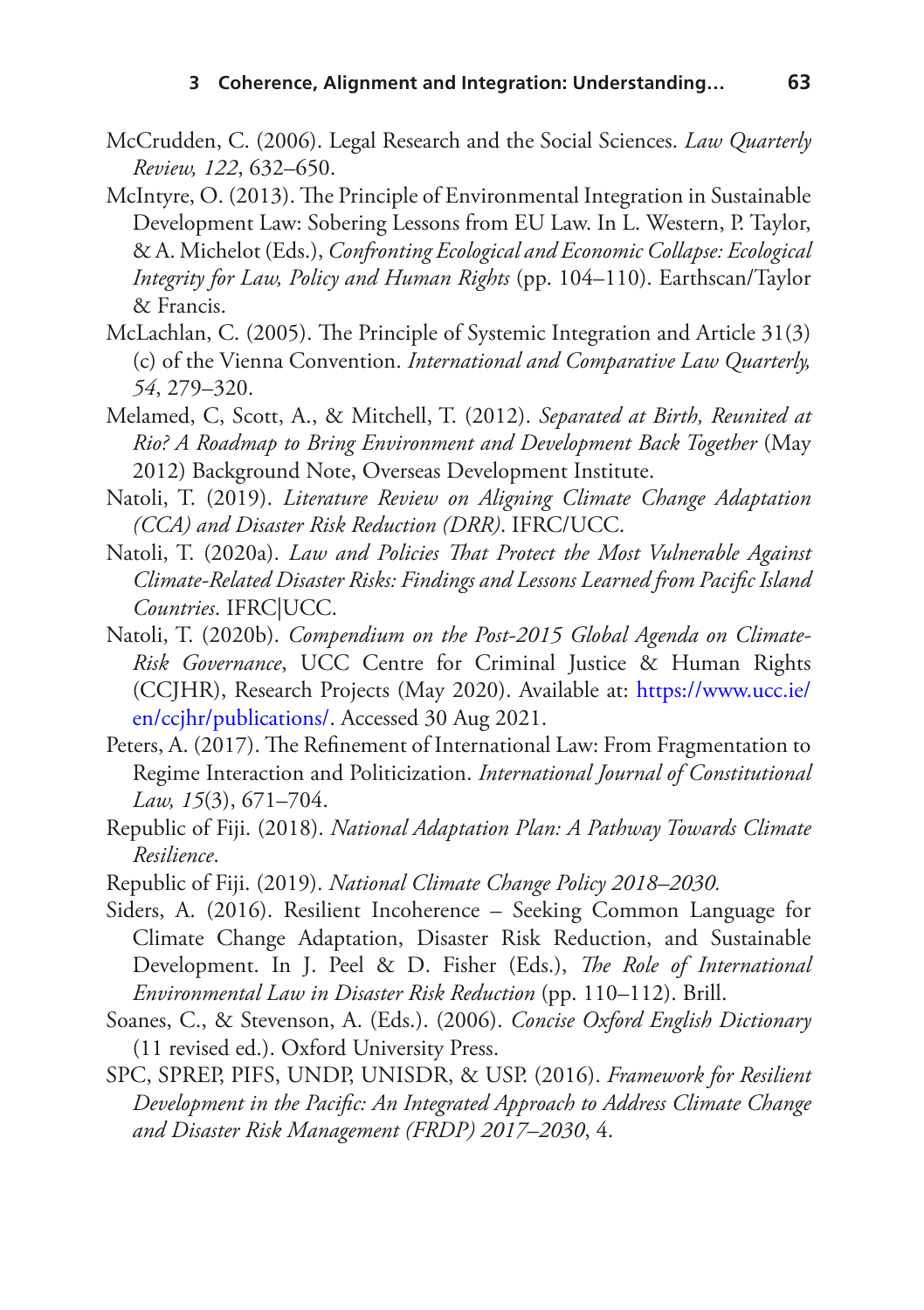- <span id="page-19-5"></span>McCrudden, C. (2006). Legal Research and the Social Sciences. *Law Quarterly Review, 122*, 632–650.
- <span id="page-19-7"></span>McIntyre, O. (2013). The Principle of Environmental Integration in Sustainable Development Law: Sobering Lessons from EU Law. In L. Western, P. Taylor, & A. Michelot (Eds.), *Confronting Ecological and Economic Collapse: Ecological Integrity for Law, Policy and Human Rights* (pp. 104–110). Earthscan/Taylor & Francis.
- <span id="page-19-2"></span>McLachlan, C. (2005). The Principle of Systemic Integration and Article 31(3) (c) of the Vienna Convention. *International and Comparative Law Quarterly, 54*, 279–320.
- <span id="page-19-0"></span>Melamed, C, Scott, A., & Mitchell, T. (2012). *Separated at Birth, Reunited at Rio? A Roadmap to Bring Environment and Development Back Together* (May 2012) Background Note, Overseas Development Institute.
- <span id="page-19-3"></span>Natoli, T. (2019). *Literature Review on Aligning Climate Change Adaptation (CCA) and Disaster Risk Reduction (DRR)*. IFRC/UCC.
- <span id="page-19-10"></span>Natoli, T. (2020a). *Law and Policies That Protect the Most Vulnerable Against Climate-Related Disaster Risks: Findings and Lessons Learned from Pacifc Island Countries*. IFRC|UCC.
- <span id="page-19-4"></span>Natoli, T. (2020b). *Compendium on the Post-2015 Global Agenda on Climate-Risk Governance*, UCC Centre for Criminal Justice & Human Rights (CCJHR), Research Projects (May 2020). Available at: [https://www.ucc.ie/](https://www.ucc.ie/en/ccjhr/publications/) [en/ccjhr/publications/.](https://www.ucc.ie/en/ccjhr/publications/) Accessed 30 Aug 2021.
- <span id="page-19-1"></span>Peters, A. (2017). The Refinement of International Law: From Fragmentation to Regime Interaction and Politicization. *International Journal of Constitutional Law, 15*(3), 671–704.
- <span id="page-19-9"></span>Republic of Fiji. (2018). *National Adaptation Plan: A Pathway Towards Climate Resilience*.
- <span id="page-19-12"></span>Republic of Fiji. (2019). *National Climate Change Policy 2018–2030.*
- <span id="page-19-6"></span>Siders, A. (2016). Resilient Incoherence – Seeking Common Language for Climate Change Adaptation, Disaster Risk Reduction, and Sustainable Development. In J. Peel & D. Fisher (Eds.), *The Role of International Environmental Law in Disaster Risk Reduction* (pp. 110–112). Brill.
- <span id="page-19-8"></span>Soanes, C., & Stevenson, A. (Eds.). (2006). *Concise Oxford English Dictionary* (11 revised ed.). Oxford University Press.
- <span id="page-19-11"></span>SPC, SPREP, PIFS, UNDP, UNISDR, & USP. (2016). *Framework for Resilient Development in the Pacifc: An Integrated Approach to Address Climate Change and Disaster Risk Management (FRDP) 2017–2030*, 4.